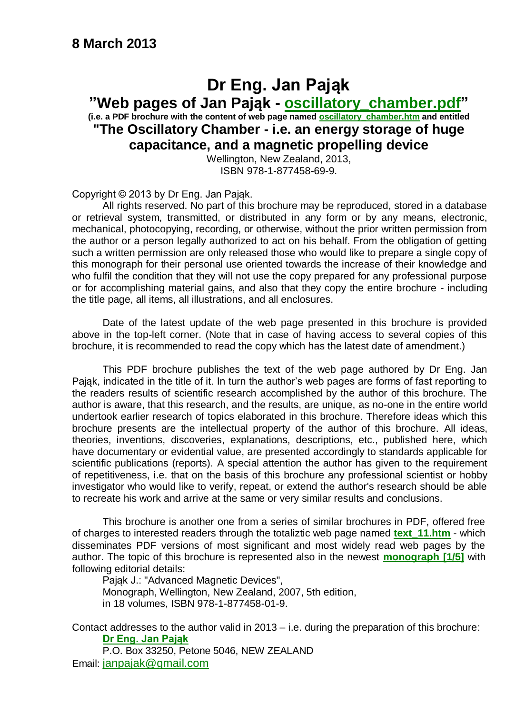#### **Dr Eng. Jan Pająk "Web pages of Jan Pająk - [oscillatory\\_chamber.pdf"](http://tornado.zxq.net/magnocraft.pdf) (i.e. a PDF brochure with the content of web page named [oscillatory\\_chamber.htm](http://tornado.zxq.net/magnocraft.htm) and entitled "The Oscillatory Chamber - i.e. an energy storage of huge capacitance, and a magnetic propelling device**

Wellington, New Zealand, 2013, ISBN 978-1-877458-69-9.

Copyright © 2013 by Dr Eng. Jan Pająk.

All rights reserved. No part of this brochure may be reproduced, stored in a database or retrieval system, transmitted, or distributed in any form or by any means, electronic, mechanical, photocopying, recording, or otherwise, without the prior written permission from the author or a person legally authorized to act on his behalf. From the obligation of getting such a written permission are only released those who would like to prepare a single copy of this monograph for their personal use oriented towards the increase of their knowledge and who fulfil the condition that they will not use the copy prepared for any professional purpose or for accomplishing material gains, and also that they copy the entire brochure - including the title page, all items, all illustrations, and all enclosures.

Date of the latest update of the web page presented in this brochure is provided above in the top-left corner. (Note that in case of having access to several copies of this brochure, it is recommended to read the copy which has the latest date of amendment.)

This PDF brochure publishes the text of the web page authored by Dr Eng. Jan Pająk, indicated in the title of it. In turn the author's web pages are forms of fast reporting to the readers results of scientific research accomplished by the author of this brochure. The author is aware, that this research, and the results, are unique, as no-one in the entire world undertook earlier research of topics elaborated in this brochure. Therefore ideas which this brochure presents are the intellectual property of the author of this brochure. All ideas, theories, inventions, discoveries, explanations, descriptions, etc., published here, which have documentary or evidential value, are presented accordingly to standards applicable for scientific publications (reports). A special attention the author has given to the requirement of repetitiveness, i.e. that on the basis of this brochure any professional scientist or hobby investigator who would like to verify, repeat, or extend the author's research should be able to recreate his work and arrive at the same or very similar results and conclusions.

This brochure is another one from a series of similar brochures in PDF, offered free of charges to interested readers through the totaliztic web page named **[text\\_11.htm](http://tornado.zxq.net/text_11.htm)** - which disseminates PDF versions of most significant and most widely read web pages by the author. The topic of this brochure is represented also in the newest **[monograph \[1/5\]](http://tornado.zxq.net/text_1_5.htm)** with following editorial details:

Pajak J.: "Advanced Magnetic Devices", Monograph, Wellington, New Zealand, 2007, 5th edition, in 18 volumes, ISBN 978-1-877458-01-9.

Contact addresses to the author valid in 2013 – i.e. during the preparation of this brochure: **[Dr Eng. Jan Pająk](http://images.google.co.nz/images?hl=en&q=Jan+Pajak&btnG=Search+Images&gbv=1)** P.O. Box 33250, Petone 5046, NEW ZEALAND

Email: [janpajak@gmail.com](mailto:%20janpajak@gmail.com)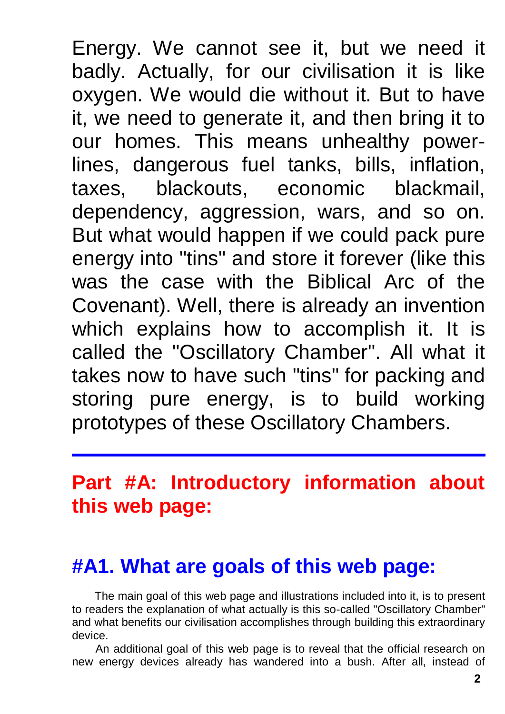Energy. We cannot see it, but we need it badly. Actually, for our civilisation it is like oxygen. We would die without it. But to have it, we need to generate it, and then bring it to our homes. This means unhealthy powerlines, dangerous fuel tanks, bills, inflation, taxes, blackouts, economic blackmail, dependency, aggression, wars, and so on. But what would happen if we could pack pure energy into "tins" and store it forever (like this was the case with the Biblical Arc of the Covenant). Well, there is already an invention which explains how to accomplish it. It is called the "Oscillatory Chamber". All what it takes now to have such "tins" for packing and storing pure energy, is to build working prototypes of these Oscillatory Chambers.

#### **Part #A: Introductory information about this web page:**

#### **#A1. What are goals of this web page:**

The main goal of this web page and illustrations included into it, is to present to readers the explanation of what actually is this so-called "Oscillatory Chamber" and what benefits our civilisation accomplishes through building this extraordinary device.

An additional goal of this web page is to reveal that the official research on new energy devices already has wandered into a bush. After all, instead of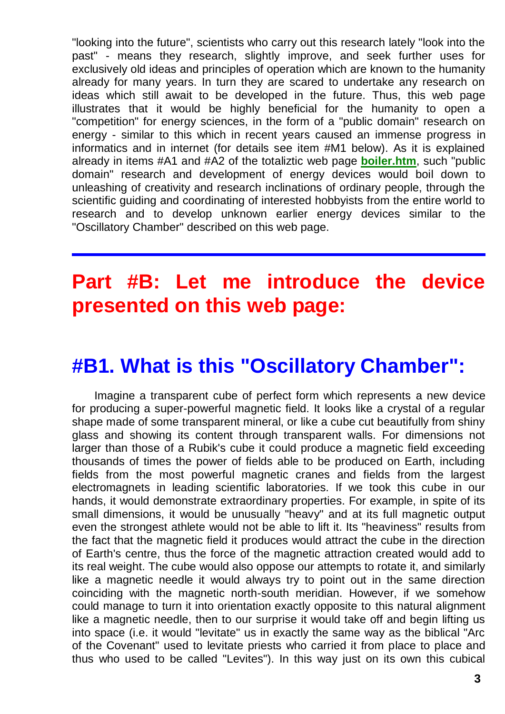"looking into the future", scientists who carry out this research lately "look into the past" - means they research, slightly improve, and seek further uses for exclusively old ideas and principles of operation which are known to the humanity already for many years. In turn they are scared to undertake any research on ideas which still await to be developed in the future. Thus, this web page illustrates that it would be highly beneficial for the humanity to open a "competition" for energy sciences, in the form of a "public domain" research on energy - similar to this which in recent years caused an immense progress in informatics and in internet (for details see item #M1 below). As it is explained already in items #A1 and #A2 of the totaliztic web page **[boiler.htm](http://tornado.zxq.net/boiler.htm)**, such "public domain" research and development of energy devices would boil down to unleashing of creativity and research inclinations of ordinary people, through the scientific guiding and coordinating of interested hobbyists from the entire world to research and to develop unknown earlier energy devices similar to the "Oscillatory Chamber" described on this web page.

#### **Part #B: Let me introduce the device presented on this web page:**

#### **#B1. What is this "Oscillatory Chamber":**

Imagine a transparent cube of perfect form which represents a new device for producing a super-powerful magnetic field. It looks like a crystal of a regular shape made of some transparent mineral, or like a cube cut beautifully from shiny glass and showing its content through transparent walls. For dimensions not larger than those of a Rubik's cube it could produce a magnetic field exceeding thousands of times the power of fields able to be produced on Earth, including fields from the most powerful magnetic cranes and fields from the largest electromagnets in leading scientific laboratories. If we took this cube in our hands, it would demonstrate extraordinary properties. For example, in spite of its small dimensions, it would be unusually "heavy" and at its full magnetic output even the strongest athlete would not be able to lift it. Its "heaviness" results from the fact that the magnetic field it produces would attract the cube in the direction of Earth's centre, thus the force of the magnetic attraction created would add to its real weight. The cube would also oppose our attempts to rotate it, and similarly like a magnetic needle it would always try to point out in the same direction coinciding with the magnetic north-south meridian. However, if we somehow could manage to turn it into orientation exactly opposite to this natural alignment like a magnetic needle, then to our surprise it would take off and begin lifting us into space (i.e. it would "levitate" us in exactly the same way as the biblical "Arc of the Covenant" used to levitate priests who carried it from place to place and thus who used to be called "Levites"). In this way just on its own this cubical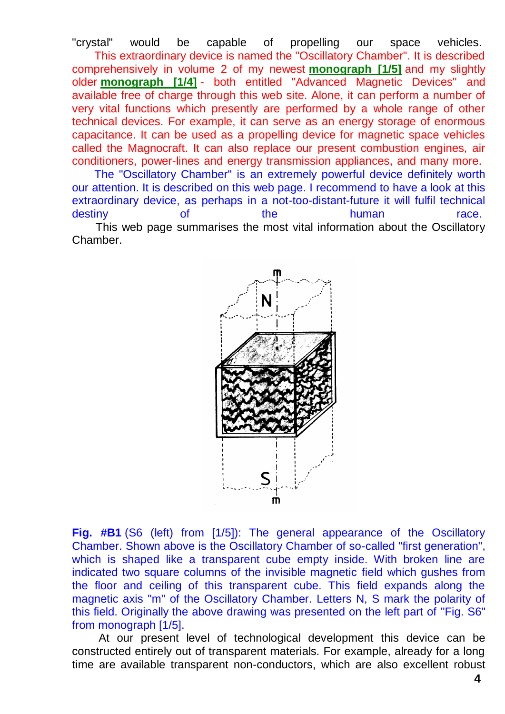"crystal" would be capable of propelling our space vehicles. This extraordinary device is named the "Oscillatory Chamber". It is described comprehensively in volume 2 of my newest **[monograph \[1/5\]](http://tornado.zxq.net/text_1_5.htm)** and my slightly older **[monograph \[1/4\]](http://tornado.zxq.net/text_1_4.htm)** - both entitled "Advanced Magnetic Devices" and available free of charge through this web site. Alone, it can perform a number of very vital functions which presently are performed by a whole range of other technical devices. For example, it can serve as an energy storage of enormous capacitance. It can be used as a propelling device for magnetic space vehicles called the Magnocraft. It can also replace our present combustion engines, air conditioners, power-lines and energy transmission appliances, and many more.

The "Oscillatory Chamber" is an extremely powerful device definitely worth our attention. It is described on this web page. I recommend to have a look at this extraordinary device, as perhaps in a not-too-distant-future it will fulfil technical destiny of the human race. This web page summarises the most vital information about the Oscillatory

Chamber.



**Fig. #B1** (S6 (left) from [1/5]): The general appearance of the Oscillatory Chamber. Shown above is the Oscillatory Chamber of so-called "first generation", which is shaped like a transparent cube empty inside. With broken line are indicated two square columns of the invisible magnetic field which gushes from the floor and ceiling of this transparent cube. This field expands along the magnetic axis "m" of the Oscillatory Chamber. Letters N, S mark the polarity of this field. Originally the above drawing was presented on the left part of "Fig. S6" from monograph [1/5].

At our present level of technological development this device can be constructed entirely out of transparent materials. For example, already for a long time are available transparent non-conductors, which are also excellent robust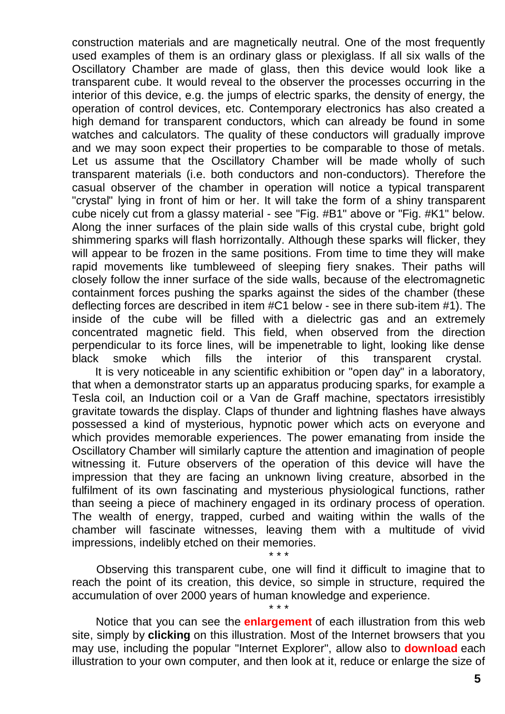construction materials and are magnetically neutral. One of the most frequently used examples of them is an ordinary glass or plexiglass. If all six walls of the Oscillatory Chamber are made of glass, then this device would look like a transparent cube. It would reveal to the observer the processes occurring in the interior of this device, e.g. the jumps of electric sparks, the density of energy, the operation of control devices, etc. Contemporary electronics has also created a high demand for transparent conductors, which can already be found in some watches and calculators. The quality of these conductors will gradually improve and we may soon expect their properties to be comparable to those of metals. Let us assume that the Oscillatory Chamber will be made wholly of such transparent materials (i.e. both conductors and non-conductors). Therefore the casual observer of the chamber in operation will notice a typical transparent "crystal" lying in front of him or her. It will take the form of a shiny transparent cube nicely cut from a glassy material - see "Fig. #B1" above or "Fig. #K1" below. Along the inner surfaces of the plain side walls of this crystal cube, bright gold shimmering sparks will flash horrizontally. Although these sparks will flicker, they will appear to be frozen in the same positions. From time to time they will make rapid movements like tumbleweed of sleeping fiery snakes. Their paths will closely follow the inner surface of the side walls, because of the electromagnetic containment forces pushing the sparks against the sides of the chamber (these deflecting forces are described in item #C1 below - see in there sub-item #1). The inside of the cube will be filled with a dielectric gas and an extremely concentrated magnetic field. This field, when observed from the direction perpendicular to its force lines, will be impenetrable to light, looking like dense black smoke which fills the interior of this transparent crystal.

It is very noticeable in any scientific exhibition or "open day" in a laboratory, that when a demonstrator starts up an apparatus producing sparks, for example a Tesla coil, an Induction coil or a Van de Graff machine, spectators irresistibly gravitate towards the display. Claps of thunder and lightning flashes have always possessed a kind of mysterious, hypnotic power which acts on everyone and which provides memorable experiences. The power emanating from inside the Oscillatory Chamber will similarly capture the attention and imagination of people witnessing it. Future observers of the operation of this device will have the impression that they are facing an unknown living creature, absorbed in the fulfilment of its own fascinating and mysterious physiological functions, rather than seeing a piece of machinery engaged in its ordinary process of operation. The wealth of energy, trapped, curbed and waiting within the walls of the chamber will fascinate witnesses, leaving them with a multitude of vivid impressions, indelibly etched on their memories.

Observing this transparent cube, one will find it difficult to imagine that to reach the point of its creation, this device, so simple in structure, required the accumulation of over 2000 years of human knowledge and experience.

\* \* \*

#### \* \* \*

Notice that you can see the **enlargement** of each illustration from this web site, simply by **clicking** on this illustration. Most of the Internet browsers that you may use, including the popular "Internet Explorer", allow also to **download** each illustration to your own computer, and then look at it, reduce or enlarge the size of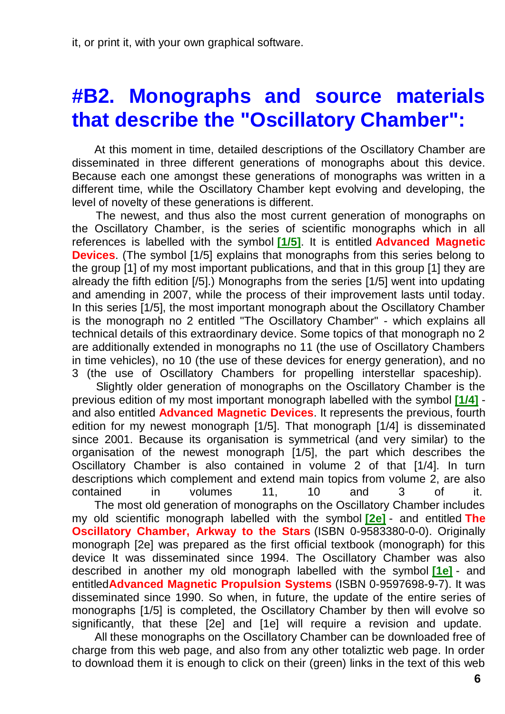#### **#B2. Monographs and source materials that describe the "Oscillatory Chamber":**

At this moment in time, detailed descriptions of the Oscillatory Chamber are disseminated in three different generations of monographs about this device. Because each one amongst these generations of monographs was written in a different time, while the Oscillatory Chamber kept evolving and developing, the level of novelty of these generations is different.

The newest, and thus also the most current generation of monographs on the Oscillatory Chamber, is the series of scientific monographs which in all references is labelled with the symbol **[\[1/5\]](http://tornado.zxq.net/text_1_5.htm)**. It is entitled **Advanced Magnetic Devices.** (The symbol [1/5] explains that monographs from this series belong to the group [1] of my most important publications, and that in this group [1] they are already the fifth edition [/5].) Monographs from the series [1/5] went into updating and amending in 2007, while the process of their improvement lasts until today. In this series [1/5], the most important monograph about the Oscillatory Chamber is the monograph no 2 entitled "The Oscillatory Chamber" - which explains all technical details of this extraordinary device. Some topics of that monograph no 2 are additionally extended in monographs no 11 (the use of Oscillatory Chambers in time vehicles), no 10 (the use of these devices for energy generation), and no 3 (the use of Oscillatory Chambers for propelling interstellar spaceship).

Slightly older generation of monographs on the Oscillatory Chamber is the previous edition of my most important monograph labelled with the symbol **[\[1/4\]](http://tornado.zxq.net/text_1_4.htm)** and also entitled **Advanced Magnetic Devices**. It represents the previous, fourth edition for my newest monograph [1/5]. That monograph [1/4] is disseminated since 2001. Because its organisation is symmetrical (and very similar) to the organisation of the newest monograph [1/5], the part which describes the Oscillatory Chamber is also contained in volume 2 of that [1/4]. In turn descriptions which complement and extend main topics from volume 2, are also contained in volumes 11, 10 and 3 of it.

The most old generation of monographs on the Oscillatory Chamber includes my old scientific monograph labelled with the symbol **[\[2e\]](http://tornado.zxq.net/text_2e.htm)** - and entitled **The Oscillatory Chamber, Arkway to the Stars** (ISBN 0-9583380-0-0). Originally monograph [2e] was prepared as the first official textbook (monograph) for this device It was disseminated since 1994. The Oscillatory Chamber was also described in another my old monograph labelled with the symbol **[\[1e\]](http://tornado.zxq.net/text_1e.htm)** - and entitled**Advanced Magnetic Propulsion Systems** (ISBN 0-9597698-9-7). It was disseminated since 1990. So when, in future, the update of the entire series of monographs [1/5] is completed, the Oscillatory Chamber by then will evolve so significantly, that these [2e] and [1e] will require a revision and update.

All these monographs on the Oscillatory Chamber can be downloaded free of charge from this web page, and also from any other totaliztic web page. In order to download them it is enough to click on their (green) links in the text of this web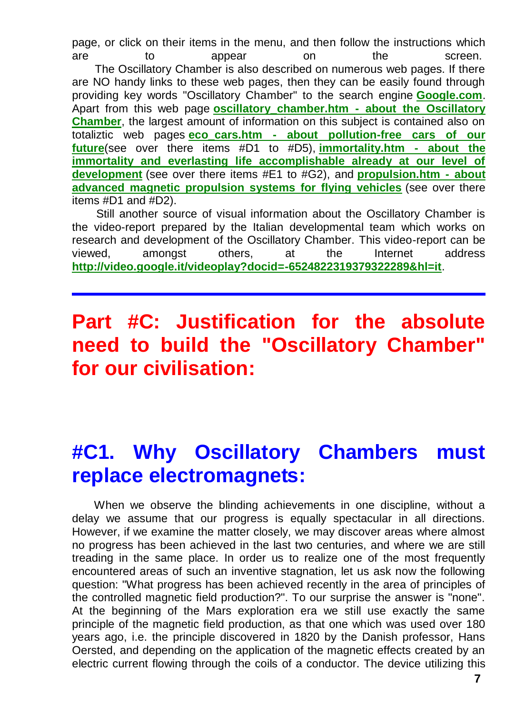page, or click on their items in the menu, and then follow the instructions which are to appear on the screen.

The Oscillatory Chamber is also described on numerous web pages. If there are NO handy links to these web pages, then they can be easily found through providing key words "Oscillatory Chamber" to the search engine **[Google.com](http://www.google.com/search?q=oscillatory+chamber)**. Apart from this web page **[oscillatory\\_chamber.htm -](http://tornado.zxq.net/oscillatory_chamber.htm) about the Oscillatory [Chamber](http://tornado.zxq.net/oscillatory_chamber.htm)**, the largest amount of information on this subject is contained also on totaliztic web pages **eco\_cars.htm - [about pollution-free cars of our](http://tornado.zxq.net/eco_cars.htm)  [future](http://tornado.zxq.net/eco_cars.htm)**(see over there items #D1 to #D5), **[immortality.htm -](http://tornado.zxq.net/immortality.htm) about the [immortality and everlasting life accomplishable already at our level of](http://tornado.zxq.net/immortality.htm)  [development](http://tornado.zxq.net/immortality.htm)** (see over there items #E1 to #G2), and **[propulsion.htm -](http://tornado.zxq.net/propulsion.htm) about [advanced magnetic propulsion systems for flying vehicles](http://tornado.zxq.net/propulsion.htm)** (see over there items #D1 and #D2).

Still another source of visual information about the Oscillatory Chamber is the video-report prepared by the Italian developmental team which works on research and development of the Oscillatory Chamber. This video-report can be viewed, amongst others, at the Internet address **<http://video.google.it/videoplay?docid=-6524822319379322289&hl=it>**.

#### **Part #C: Justification for the absolute need to build the "Oscillatory Chamber" for our civilisation:**

#### **#C1. Why Oscillatory Chambers must replace electromagnets:**

When we observe the blinding achievements in one discipline, without a delay we assume that our progress is equally spectacular in all directions. However, if we examine the matter closely, we may discover areas where almost no progress has been achieved in the last two centuries, and where we are still treading in the same place. In order us to realize one of the most frequently encountered areas of such an inventive stagnation, let us ask now the following question: "What progress has been achieved recently in the area of principles of the controlled magnetic field production?". To our surprise the answer is "none". At the beginning of the Mars exploration era we still use exactly the same principle of the magnetic field production, as that one which was used over 180 years ago, i.e. the principle discovered in 1820 by the Danish professor, Hans Oersted, and depending on the application of the magnetic effects created by an electric current flowing through the coils of a conductor. The device utilizing this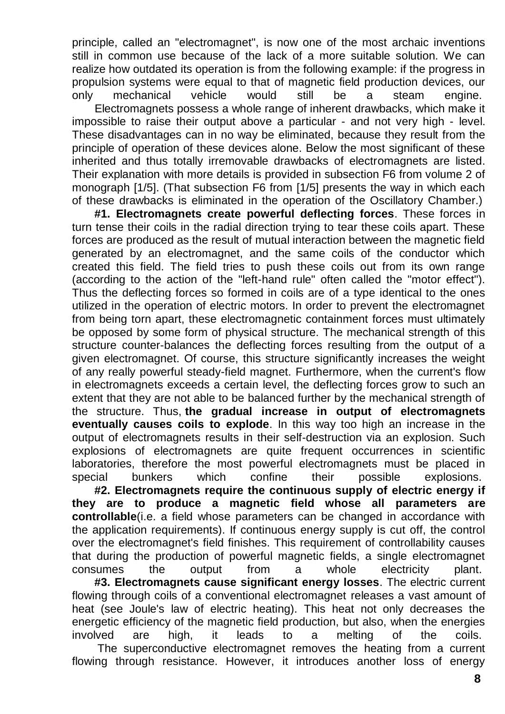principle, called an "electromagnet", is now one of the most archaic inventions still in common use because of the lack of a more suitable solution. We can realize how outdated its operation is from the following example: if the progress in propulsion systems were equal to that of magnetic field production devices, our only mechanical vehicle would still be a steam engine. Electromagnets possess a whole range of inherent drawbacks, which make it impossible to raise their output above a particular - and not very high - level. These disadvantages can in no way be eliminated, because they result from the principle of operation of these devices alone. Below the most significant of these inherited and thus totally irremovable drawbacks of electromagnets are listed. Their explanation with more details is provided in subsection F6 from volume 2 of monograph [1/5]. (That subsection F6 from [1/5] presents the way in which each of these drawbacks is eliminated in the operation of the Oscillatory Chamber.)

**#1. Electromagnets create powerful deflecting forces**. These forces in turn tense their coils in the radial direction trying to tear these coils apart. These forces are produced as the result of mutual interaction between the magnetic field generated by an electromagnet, and the same coils of the conductor which created this field. The field tries to push these coils out from its own range (according to the action of the "left-hand rule" often called the "motor effect"). Thus the deflecting forces so formed in coils are of a type identical to the ones utilized in the operation of electric motors. In order to prevent the electromagnet from being torn apart, these electromagnetic containment forces must ultimately be opposed by some form of physical structure. The mechanical strength of this structure counter-balances the deflecting forces resulting from the output of a given electromagnet. Of course, this structure significantly increases the weight of any really powerful steady-field magnet. Furthermore, when the current's flow in electromagnets exceeds a certain level, the deflecting forces grow to such an extent that they are not able to be balanced further by the mechanical strength of the structure. Thus, **the gradual increase in output of electromagnets eventually causes coils to explode**. In this way too high an increase in the output of electromagnets results in their self-destruction via an explosion. Such explosions of electromagnets are quite frequent occurrences in scientific laboratories, therefore the most powerful electromagnets must be placed in special bunkers which confine their possible explosions.

**#2. Electromagnets require the continuous supply of electric energy if they are to produce a magnetic field whose all parameters are controllable**(i.e. a field whose parameters can be changed in accordance with the application requirements). If continuous energy supply is cut off, the control over the electromagnet's field finishes. This requirement of controllability causes that during the production of powerful magnetic fields, a single electromagnet consumes the output from a whole electricity plant.

**#3. Electromagnets cause significant energy losses**. The electric current flowing through coils of a conventional electromagnet releases a vast amount of heat (see Joule's law of electric heating). This heat not only decreases the energetic efficiency of the magnetic field production, but also, when the energies involved are high, it leads to a melting of the coils.

The superconductive electromagnet removes the heating from a current flowing through resistance. However, it introduces another loss of energy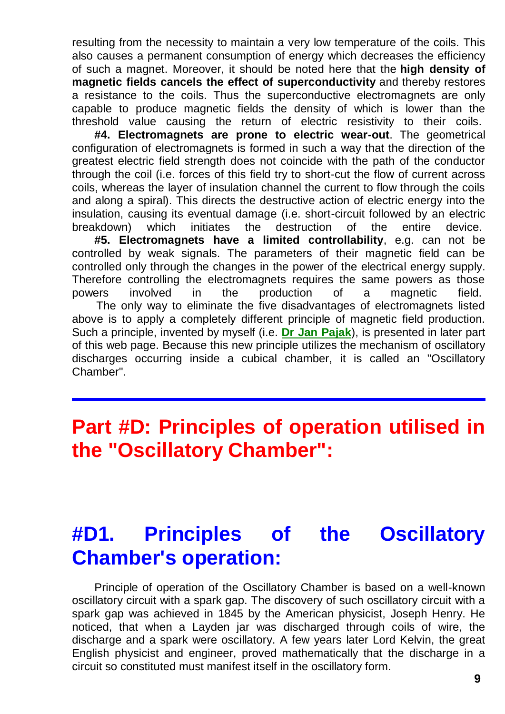resulting from the necessity to maintain a very low temperature of the coils. This also causes a permanent consumption of energy which decreases the efficiency of such a magnet. Moreover, it should be noted here that the **high density of magnetic fields cancels the effect of superconductivity** and thereby restores a resistance to the coils. Thus the superconductive electromagnets are only capable to produce magnetic fields the density of which is lower than the threshold value causing the return of electric resistivity to their coils.

**#4. Electromagnets are prone to electric wear-out**. The geometrical configuration of electromagnets is formed in such a way that the direction of the greatest electric field strength does not coincide with the path of the conductor through the coil (i.e. forces of this field try to short-cut the flow of current across coils, whereas the layer of insulation channel the current to flow through the coils and along a spiral). This directs the destructive action of electric energy into the insulation, causing its eventual damage (i.e. short-circuit followed by an electric breakdown) which initiates the destruction of the entire device.

**#5. Electromagnets have a limited controllability**, e.g. can not be controlled by weak signals. The parameters of their magnetic field can be controlled only through the changes in the power of the electrical energy supply. Therefore controlling the electromagnets requires the same powers as those powers involved in the production of a magnetic field. The only way to eliminate the five disadvantages of electromagnets listed above is to apply a completely different principle of magnetic field production.

Such a principle, invented by myself (i.e. **[Dr Jan Pajak](http://tornado.zxq.net/pajak_jan_uk.htm)**), is presented in later part of this web page. Because this new principle utilizes the mechanism of oscillatory discharges occurring inside a cubical chamber, it is called an "Oscillatory Chamber".

#### **Part #D: Principles of operation utilised in the "Oscillatory Chamber":**

#### **#D1. Principles of the Oscillatory Chamber's operation:**

Principle of operation of the Oscillatory Chamber is based on a well-known oscillatory circuit with a spark gap. The discovery of such oscillatory circuit with a spark gap was achieved in 1845 by the American physicist, Joseph Henry. He noticed, that when a Layden jar was discharged through coils of wire, the discharge and a spark were oscillatory. A few years later Lord Kelvin, the great English physicist and engineer, proved mathematically that the discharge in a circuit so constituted must manifest itself in the oscillatory form.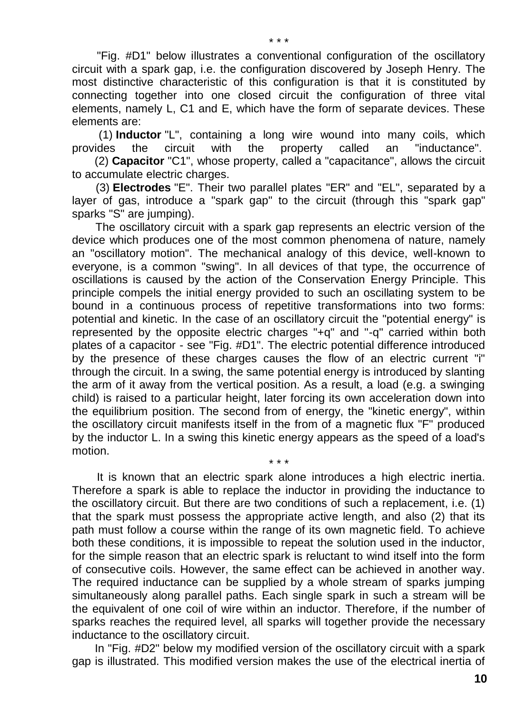"Fig. #D1" below illustrates a conventional configuration of the oscillatory circuit with a spark gap, i.e. the configuration discovered by Joseph Henry. The most distinctive characteristic of this configuration is that it is constituted by connecting together into one closed circuit the configuration of three vital elements, namely L, C1 and E, which have the form of separate devices. These elements are:

(1) **Inductor** "L", containing a long wire wound into many coils, which provides the circuit with the property called an "inductance".

(2) **Capacitor** "C1", whose property, called a "capacitance", allows the circuit to accumulate electric charges.

(3) **Electrodes** "E". Their two parallel plates "ER" and "EL", separated by a layer of gas, introduce a "spark gap" to the circuit (through this "spark gap" sparks "S" are jumping).

The oscillatory circuit with a spark gap represents an electric version of the device which produces one of the most common phenomena of nature, namely an "oscillatory motion". The mechanical analogy of this device, well-known to everyone, is a common "swing". In all devices of that type, the occurrence of oscillations is caused by the action of the Conservation Energy Principle. This principle compels the initial energy provided to such an oscillating system to be bound in a continuous process of repetitive transformations into two forms: potential and kinetic. In the case of an oscillatory circuit the "potential energy" is represented by the opposite electric charges "+q" and "-q" carried within both plates of a capacitor - see "Fig. #D1". The electric potential difference introduced by the presence of these charges causes the flow of an electric current "i" through the circuit. In a swing, the same potential energy is introduced by slanting the arm of it away from the vertical position. As a result, a load (e.g. a swinging child) is raised to a particular height, later forcing its own acceleration down into the equilibrium position. The second from of energy, the "kinetic energy", within the oscillatory circuit manifests itself in the from of a magnetic flux "F" produced by the inductor L. In a swing this kinetic energy appears as the speed of a load's motion.

\* \* \* It is known that an electric spark alone introduces a high electric inertia. Therefore a spark is able to replace the inductor in providing the inductance to the oscillatory circuit. But there are two conditions of such a replacement, i.e. (1) that the spark must possess the appropriate active length, and also (2) that its path must follow a course within the range of its own magnetic field. To achieve both these conditions, it is impossible to repeat the solution used in the inductor, for the simple reason that an electric spark is reluctant to wind itself into the form of consecutive coils. However, the same effect can be achieved in another way. The required inductance can be supplied by a whole stream of sparks jumping simultaneously along parallel paths. Each single spark in such a stream will be the equivalent of one coil of wire within an inductor. Therefore, if the number of sparks reaches the required level, all sparks will together provide the necessary inductance to the oscillatory circuit.

In "Fig. #D2" below my modified version of the oscillatory circuit with a spark gap is illustrated. This modified version makes the use of the electrical inertia of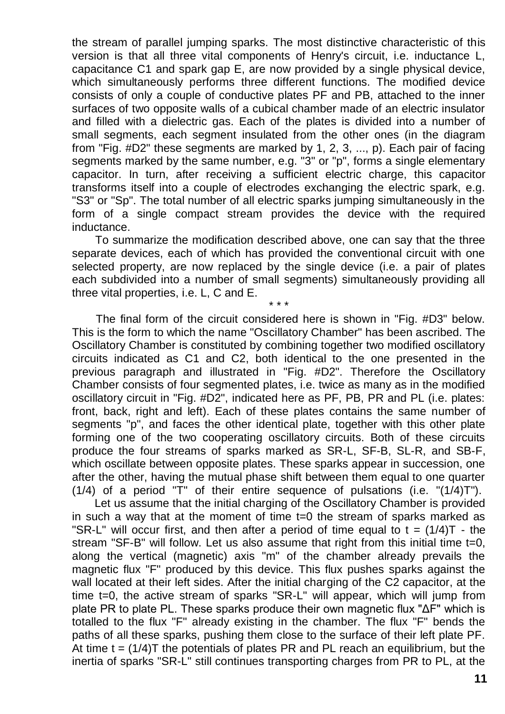the stream of parallel jumping sparks. The most distinctive characteristic of this version is that all three vital components of Henry's circuit, i.e. inductance L, capacitance C1 and spark gap E, are now provided by a single physical device, which simultaneously performs three different functions. The modified device consists of only a couple of conductive plates PF and PB, attached to the inner surfaces of two opposite walls of a cubical chamber made of an electric insulator and filled with a dielectric gas. Each of the plates is divided into a number of small segments, each segment insulated from the other ones (in the diagram from "Fig. #D2" these segments are marked by 1, 2, 3, ..., p). Each pair of facing segments marked by the same number, e.g. "3" or "p", forms a single elementary capacitor. In turn, after receiving a sufficient electric charge, this capacitor transforms itself into a couple of electrodes exchanging the electric spark, e.g. "S3" or "Sp". The total number of all electric sparks jumping simultaneously in the form of a single compact stream provides the device with the required inductance.

To summarize the modification described above, one can say that the three separate devices, each of which has provided the conventional circuit with one selected property, are now replaced by the single device (i.e. a pair of plates each subdivided into a number of small segments) simultaneously providing all three vital properties, i.e. L, C and E.

\* \* \* The final form of the circuit considered here is shown in "Fig. #D3" below. This is the form to which the name "Oscillatory Chamber" has been ascribed. The Oscillatory Chamber is constituted by combining together two modified oscillatory circuits indicated as C1 and C2, both identical to the one presented in the previous paragraph and illustrated in "Fig. #D2". Therefore the Oscillatory Chamber consists of four segmented plates, i.e. twice as many as in the modified oscillatory circuit in "Fig. #D2", indicated here as PF, PB, PR and PL (i.e. plates: front, back, right and left). Each of these plates contains the same number of segments "p", and faces the other identical plate, together with this other plate forming one of the two cooperating oscillatory circuits. Both of these circuits produce the four streams of sparks marked as SR-L, SF-B, SL-R, and SB-F, which oscillate between opposite plates. These sparks appear in succession, one after the other, having the mutual phase shift between them equal to one quarter (1/4) of a period " $\overline{T}$ " of their entire sequence of pulsations (i.e. "(1/4) $T$ ").

Let us assume that the initial charging of the Oscillatory Chamber is provided in such a way that at the moment of time t=0 the stream of sparks marked as "SR-L" will occur first, and then after a period of time equal to  $t = (1/4)T - t$  he stream "SF-B" will follow. Let us also assume that right from this initial time t=0, along the vertical (magnetic) axis "m" of the chamber already prevails the magnetic flux "F" produced by this device. This flux pushes sparks against the wall located at their left sides. After the initial charging of the C2 capacitor, at the time t=0, the active stream of sparks "SR-L" will appear, which will jump from plate PR to plate PL. These sparks produce their own magnetic flux "ΔF" which is totalled to the flux "F" already existing in the chamber. The flux "F" bends the paths of all these sparks, pushing them close to the surface of their left plate PF. At time  $t = (1/4)T$  the potentials of plates PR and PL reach an equilibrium, but the inertia of sparks "SR-L" still continues transporting charges from PR to PL, at the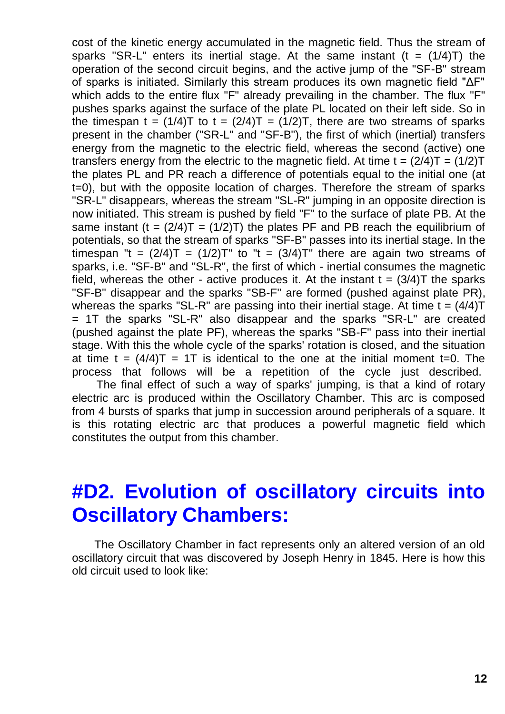cost of the kinetic energy accumulated in the magnetic field. Thus the stream of sparks "SR-L" enters its inertial stage. At the same instant  $(t = (1/4)T)$  the operation of the second circuit begins, and the active jump of the "SF-B" stream of sparks is initiated. Similarly this stream produces its own magnetic field "ΔF" which adds to the entire flux "F" already prevailing in the chamber. The flux "F" pushes sparks against the surface of the plate PL located on their left side. So in the timespan t =  $(1/4)T$  to t =  $(2/4)T = (1/2)T$ , there are two streams of sparks present in the chamber ("SR-L" and "SF-B"), the first of which (inertial) transfers energy from the magnetic to the electric field, whereas the second (active) one transfers energy from the electric to the magnetic field. At time  $t = (2/4)T = (1/2)T$ the plates PL and PR reach a difference of potentials equal to the initial one (at t=0), but with the opposite location of charges. Therefore the stream of sparks "SR-L" disappears, whereas the stream "SL-R" jumping in an opposite direction is now initiated. This stream is pushed by field "F" to the surface of plate PB. At the same instant (t =  $(2/4)T = (1/2)T$ ) the plates PF and PB reach the equilibrium of potentials, so that the stream of sparks "SF-B" passes into its inertial stage. In the timespan "t =  $(2/4)T = (1/2)T$ " to "t =  $(3/4)T$ " there are again two streams of sparks, i.e. "SF-B" and "SL-R", the first of which - inertial consumes the magnetic field, whereas the other - active produces it. At the instant  $t = (3/4)T$  the sparks "SF-B" disappear and the sparks "SB-F" are formed (pushed against plate PR), whereas the sparks "SL-R" are passing into their inertial stage. At time  $t = (4/4)T$ = 1T the sparks "SL-R" also disappear and the sparks "SR-L" are created (pushed against the plate PF), whereas the sparks "SB-F" pass into their inertial stage. With this the whole cycle of the sparks' rotation is closed, and the situation at time  $t = (4/4)T = 1T$  is identical to the one at the initial moment t=0. The process that follows will be a repetition of the cycle just described.

The final effect of such a way of sparks' jumping, is that a kind of rotary electric arc is produced within the Oscillatory Chamber. This arc is composed from 4 bursts of sparks that jump in succession around peripherals of a square. It is this rotating electric arc that produces a powerful magnetic field which constitutes the output from this chamber.

#### **#D2. Evolution of oscillatory circuits into Oscillatory Chambers:**

The Oscillatory Chamber in fact represents only an altered version of an old oscillatory circuit that was discovered by Joseph Henry in 1845. Here is how this old circuit used to look like: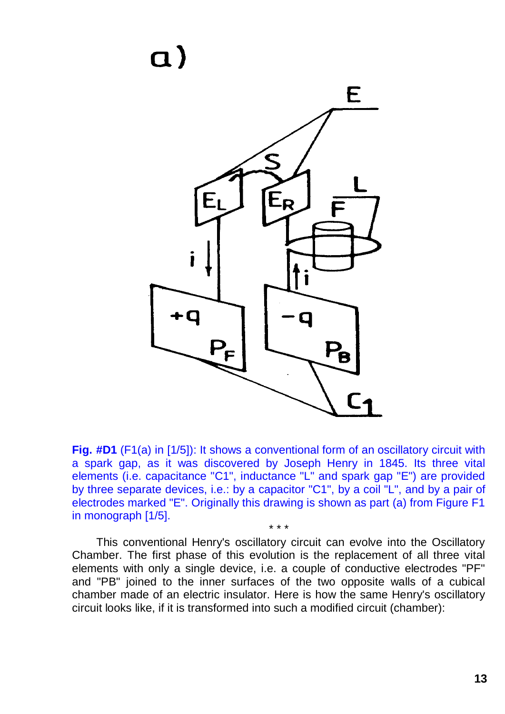# a)



**Fig. #D1** (F1(a) in [1/5]): It shows a conventional form of an oscillatory circuit with a spark gap, as it was discovered by Joseph Henry in 1845. Its three vital elements (i.e. capacitance "C1", inductance "L" and spark gap "E") are provided by three separate devices, i.e.: by a capacitor "C1", by a coil "L", and by a pair of electrodes marked "E". Originally this drawing is shown as part (a) from Figure F1 in monograph [1/5].

This conventional Henry's oscillatory circuit can evolve into the Oscillatory Chamber. The first phase of this evolution is the replacement of all three vital elements with only a single device, i.e. a couple of conductive electrodes "PF" and "PB" joined to the inner surfaces of the two opposite walls of a cubical chamber made of an electric insulator. Here is how the same Henry's oscillatory circuit looks like, if it is transformed into such a modified circuit (chamber):

\* \* \*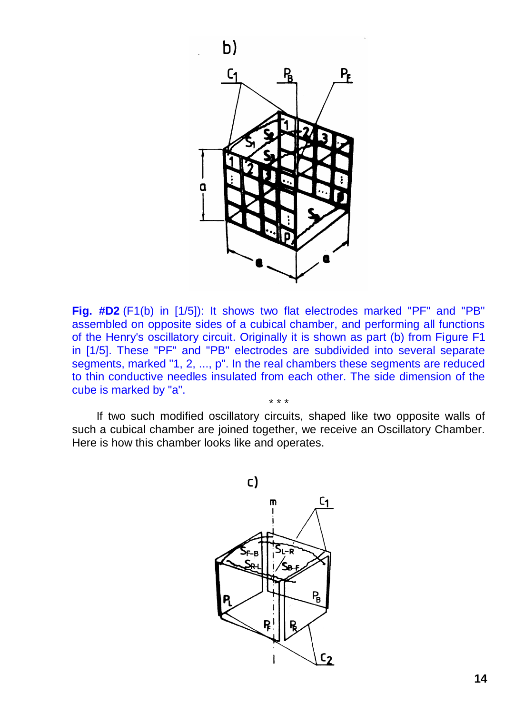

**Fig. #D2** (F1(b) in [1/5]): It shows two flat electrodes marked "PF" and "PB" assembled on opposite sides of a cubical chamber, and performing all functions of the Henry's oscillatory circuit. Originally it is shown as part (b) from Figure F1 in [1/5]. These "PF" and "PB" electrodes are subdivided into several separate segments, marked "1, 2, ..., p". In the real chambers these segments are reduced to thin conductive needles insulated from each other. The side dimension of the cube is marked by "a".

If two such modified oscillatory circuits, shaped like two opposite walls of such a cubical chamber are joined together, we receive an Oscillatory Chamber. Here is how this chamber looks like and operates.

\* \* \*

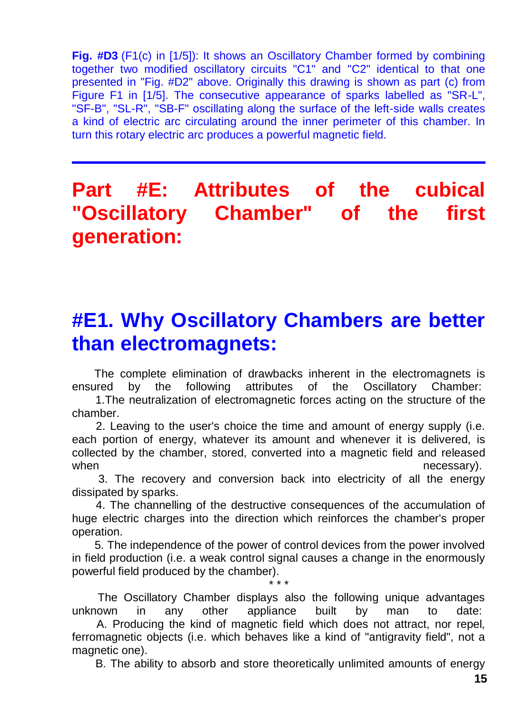**Fig. #D3** (F1(c) in [1/5]): It shows an Oscillatory Chamber formed by combining together two modified oscillatory circuits "C1" and "C2" identical to that one presented in "Fig. #D2" above. Originally this drawing is shown as part (c) from Figure F1 in [1/5]. The consecutive appearance of sparks labelled as "SR-L", "SF-B", "SL-R", "SB-F" oscillating along the surface of the left-side walls creates a kind of electric arc circulating around the inner perimeter of this chamber. In turn this rotary electric arc produces a powerful magnetic field.

#### **Part #E: Attributes of the cubical "Oscillatory Chamber" of the first generation:**

#### **#E1. Why Oscillatory Chambers are better than electromagnets:**

The complete elimination of drawbacks inherent in the electromagnets is ensured by the following attributes of the Oscillatory Chamber:

1.The neutralization of electromagnetic forces acting on the structure of the chamber.

2. Leaving to the user's choice the time and amount of energy supply (i.e. each portion of energy, whatever its amount and whenever it is delivered, is collected by the chamber, stored, converted into a magnetic field and released when  $w$  is a set of  $w$  is a set of  $w$  is a set of  $w$  is a set of  $w$  is a set of  $w$  is a set of  $w$  is a set of  $w$  is a set of  $w$  is a set of  $w$  is a set of  $w$  is a set of  $w$  is a set of  $w$  is a set of  $w$  is a

3. The recovery and conversion back into electricity of all the energy dissipated by sparks.

4. The channelling of the destructive consequences of the accumulation of huge electric charges into the direction which reinforces the chamber's proper operation.

5. The independence of the power of control devices from the power involved in field production (i.e. a weak control signal causes a change in the enormously powerful field produced by the chamber).

\* \* \* The Oscillatory Chamber displays also the following unique advantages unknown in any other appliance built by man to date:

A. Producing the kind of magnetic field which does not attract, nor repel, ferromagnetic objects (i.e. which behaves like a kind of "antigravity field", not a magnetic one).

B. The ability to absorb and store theoretically unlimited amounts of energy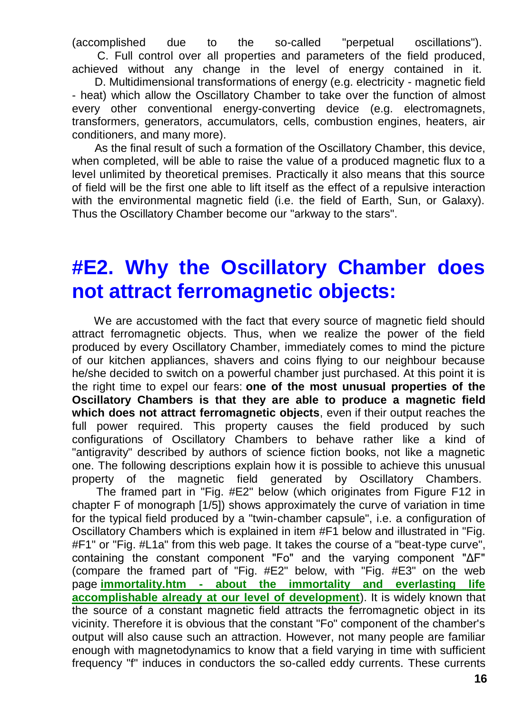(accomplished due to the so-called "perpetual oscillations"). C. Full control over all properties and parameters of the field produced,

achieved without any change in the level of energy contained in it. D. Multidimensional transformations of energy (e.g. electricity - magnetic field - heat) which allow the Oscillatory Chamber to take over the function of almost every other conventional energy-converting device (e.g. electromagnets, transformers, generators, accumulators, cells, combustion engines, heaters, air conditioners, and many more).

As the final result of such a formation of the Oscillatory Chamber, this device, when completed, will be able to raise the value of a produced magnetic flux to a level unlimited by theoretical premises. Practically it also means that this source of field will be the first one able to lift itself as the effect of a repulsive interaction with the environmental magnetic field (i.e. the field of Earth, Sun, or Galaxy). Thus the Oscillatory Chamber become our "arkway to the stars".

#### **#E2. Why the Oscillatory Chamber does not attract ferromagnetic objects:**

We are accustomed with the fact that every source of magnetic field should attract ferromagnetic objects. Thus, when we realize the power of the field produced by every Oscillatory Chamber, immediately comes to mind the picture of our kitchen appliances, shavers and coins flying to our neighbour because he/she decided to switch on a powerful chamber just purchased. At this point it is the right time to expel our fears: **one of the most unusual properties of the Oscillatory Chambers is that they are able to produce a magnetic field which does not attract ferromagnetic objects**, even if their output reaches the full power required. This property causes the field produced by such configurations of Oscillatory Chambers to behave rather like a kind of "antigravity" described by authors of science fiction books, not like a magnetic one. The following descriptions explain how it is possible to achieve this unusual property of the magnetic field generated by Oscillatory Chambers.

The framed part in "Fig. #E2" below (which originates from Figure F12 in chapter F of monograph [1/5]) shows approximately the curve of variation in time for the typical field produced by a "twin-chamber capsule", i.e. a configuration of Oscillatory Chambers which is explained in item #F1 below and illustrated in "Fig. #F1" or "Fig. #L1a" from this web page. It takes the course of a "beat-type curve", containing the constant component "Fo" and the varying component "ΔF" (compare the framed part of "Fig. #E2" below, with "Fig. #E3" on the web page **immortality.htm - [about the immortality and everlasting life](http://tornado.zxq.net/immortality.htm)  [accomplishable already at our level of development](http://tornado.zxq.net/immortality.htm)**). It is widely known that the source of a constant magnetic field attracts the ferromagnetic object in its vicinity. Therefore it is obvious that the constant "Fo" component of the chamber's output will also cause such an attraction. However, not many people are familiar enough with magnetodynamics to know that a field varying in time with sufficient frequency "f" induces in conductors the so-called eddy currents. These currents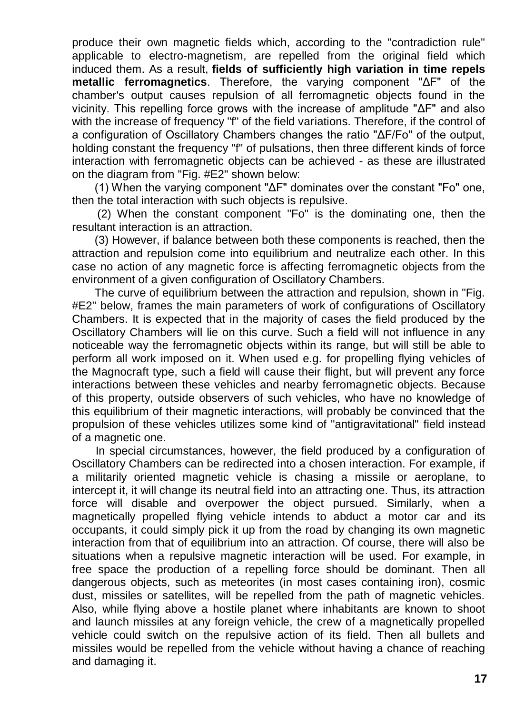produce their own magnetic fields which, according to the "contradiction rule" applicable to electro-magnetism, are repelled from the original field which induced them. As a result, **fields of sufficiently high variation in time repels metallic ferromagnetics**. Therefore, the varying component "ΔF" of the chamber's output causes repulsion of all ferromagnetic objects found in the vicinity. This repelling force grows with the increase of amplitude "ΔF" and also with the increase of frequency "f" of the field variations. Therefore, if the control of a configuration of Oscillatory Chambers changes the ratio "ΔF/Fo" of the output, holding constant the frequency "f" of pulsations, then three different kinds of force interaction with ferromagnetic objects can be achieved - as these are illustrated on the diagram from "Fig. #E2" shown below:

(1) When the varying component "ΔF" dominates over the constant "Fo" one, then the total interaction with such objects is repulsive.

(2) When the constant component "Fo" is the dominating one, then the resultant interaction is an attraction.

(3) However, if balance between both these components is reached, then the attraction and repulsion come into equilibrium and neutralize each other. In this case no action of any magnetic force is affecting ferromagnetic objects from the environment of a given configuration of Oscillatory Chambers.

The curve of equilibrium between the attraction and repulsion, shown in "Fig. #E2" below, frames the main parameters of work of configurations of Oscillatory Chambers. It is expected that in the majority of cases the field produced by the Oscillatory Chambers will lie on this curve. Such a field will not influence in any noticeable way the ferromagnetic objects within its range, but will still be able to perform all work imposed on it. When used e.g. for propelling flying vehicles of the Magnocraft type, such a field will cause their flight, but will prevent any force interactions between these vehicles and nearby ferromagnetic objects. Because of this property, outside observers of such vehicles, who have no knowledge of this equilibrium of their magnetic interactions, will probably be convinced that the propulsion of these vehicles utilizes some kind of "antigravitational" field instead of a magnetic one.

In special circumstances, however, the field produced by a configuration of Oscillatory Chambers can be redirected into a chosen interaction. For example, if a militarily oriented magnetic vehicle is chasing a missile or aeroplane, to intercept it, it will change its neutral field into an attracting one. Thus, its attraction force will disable and overpower the object pursued. Similarly, when a magnetically propelled flying vehicle intends to abduct a motor car and its occupants, it could simply pick it up from the road by changing its own magnetic interaction from that of equilibrium into an attraction. Of course, there will also be situations when a repulsive magnetic interaction will be used. For example, in free space the production of a repelling force should be dominant. Then all dangerous objects, such as meteorites (in most cases containing iron), cosmic dust, missiles or satellites, will be repelled from the path of magnetic vehicles. Also, while flying above a hostile planet where inhabitants are known to shoot and launch missiles at any foreign vehicle, the crew of a magnetically propelled vehicle could switch on the repulsive action of its field. Then all bullets and missiles would be repelled from the vehicle without having a chance of reaching and damaging it.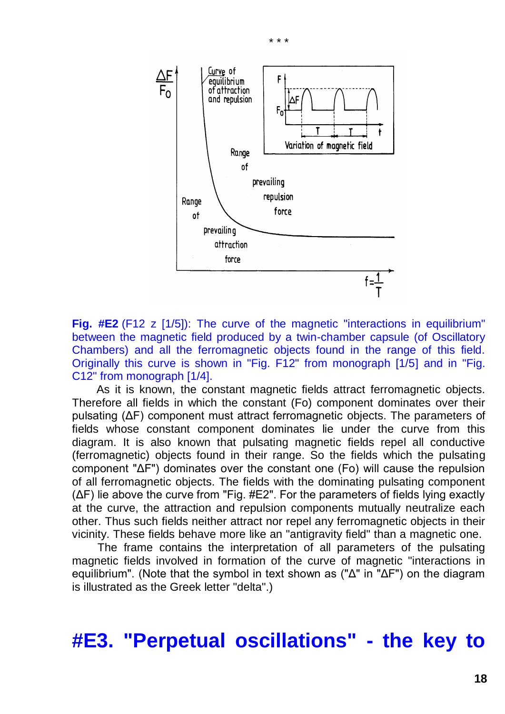

**Fig. #E2** (F12 z [1/5]): The curve of the magnetic "interactions in equilibrium" between the magnetic field produced by a twin-chamber capsule (of Oscillatory Chambers) and all the ferromagnetic objects found in the range of this field. Originally this curve is shown in "Fig. F12" from monograph [1/5] and in "Fig. C12" from monograph [1/4].

As it is known, the constant magnetic fields attract ferromagnetic objects. Therefore all fields in which the constant (Fo) component dominates over their pulsating (ΔF) component must attract ferromagnetic objects. The parameters of fields whose constant component dominates lie under the curve from this diagram. It is also known that pulsating magnetic fields repel all conductive (ferromagnetic) objects found in their range. So the fields which the pulsating component "ΔF") dominates over the constant one (Fo) will cause the repulsion of all ferromagnetic objects. The fields with the dominating pulsating component (ΔF) lie above the curve from "Fig. #E2". For the parameters of fields lying exactly at the curve, the attraction and repulsion components mutually neutralize each other. Thus such fields neither attract nor repel any ferromagnetic objects in their vicinity. These fields behave more like an "antigravity field" than a magnetic one.

The frame contains the interpretation of all parameters of the pulsating magnetic fields involved in formation of the curve of magnetic "interactions in equilibrium". (Note that the symbol in text shown as ("Δ" in "ΔF") on the diagram is illustrated as the Greek letter "delta".)

#### **#E3. "Perpetual oscillations" - the key to**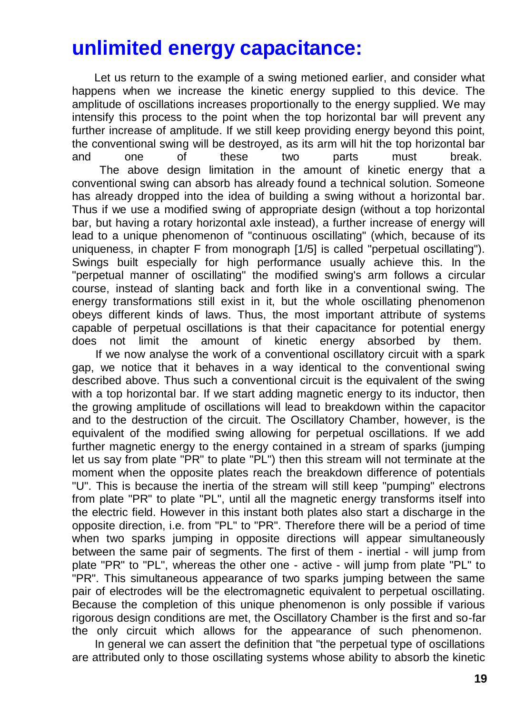#### **unlimited energy capacitance:**

Let us return to the example of a swing metioned earlier, and consider what happens when we increase the kinetic energy supplied to this device. The amplitude of oscillations increases proportionally to the energy supplied. We may intensify this process to the point when the top horizontal bar will prevent any further increase of amplitude. If we still keep providing energy beyond this point, the conventional swing will be destroyed, as its arm will hit the top horizontal bar and one of these two parts must break. The above design limitation in the amount of kinetic energy that a conventional swing can absorb has already found a technical solution. Someone has already dropped into the idea of building a swing without a horizontal bar. Thus if we use a modified swing of appropriate design (without a top horizontal bar, but having a rotary horizontal axle instead), a further increase of energy will lead to a unique phenomenon of "continuous oscillating" (which, because of its uniqueness, in chapter F from monograph [1/5] is called "perpetual oscillating"). Swings built especially for high performance usually achieve this. In the "perpetual manner of oscillating" the modified swing's arm follows a circular course, instead of slanting back and forth like in a conventional swing. The energy transformations still exist in it, but the whole oscillating phenomenon obeys different kinds of laws. Thus, the most important attribute of systems capable of perpetual oscillations is that their capacitance for potential energy does not limit the amount of kinetic energy absorbed by them.

If we now analyse the work of a conventional oscillatory circuit with a spark gap, we notice that it behaves in a way identical to the conventional swing described above. Thus such a conventional circuit is the equivalent of the swing with a top horizontal bar. If we start adding magnetic energy to its inductor, then the growing amplitude of oscillations will lead to breakdown within the capacitor and to the destruction of the circuit. The Oscillatory Chamber, however, is the equivalent of the modified swing allowing for perpetual oscillations. If we add further magnetic energy to the energy contained in a stream of sparks (jumping let us say from plate "PR" to plate "PL") then this stream will not terminate at the moment when the opposite plates reach the breakdown difference of potentials "U". This is because the inertia of the stream will still keep "pumping" electrons from plate "PR" to plate "PL", until all the magnetic energy transforms itself into the electric field. However in this instant both plates also start a discharge in the opposite direction, i.e. from "PL" to "PR". Therefore there will be a period of time when two sparks jumping in opposite directions will appear simultaneously between the same pair of segments. The first of them - inertial - will jump from plate "PR" to "PL", whereas the other one - active - will jump from plate "PL" to "PR". This simultaneous appearance of two sparks jumping between the same pair of electrodes will be the electromagnetic equivalent to perpetual oscillating. Because the completion of this unique phenomenon is only possible if various rigorous design conditions are met, the Oscillatory Chamber is the first and so-far the only circuit which allows for the appearance of such phenomenon.

In general we can assert the definition that "the perpetual type of oscillations are attributed only to those oscillating systems whose ability to absorb the kinetic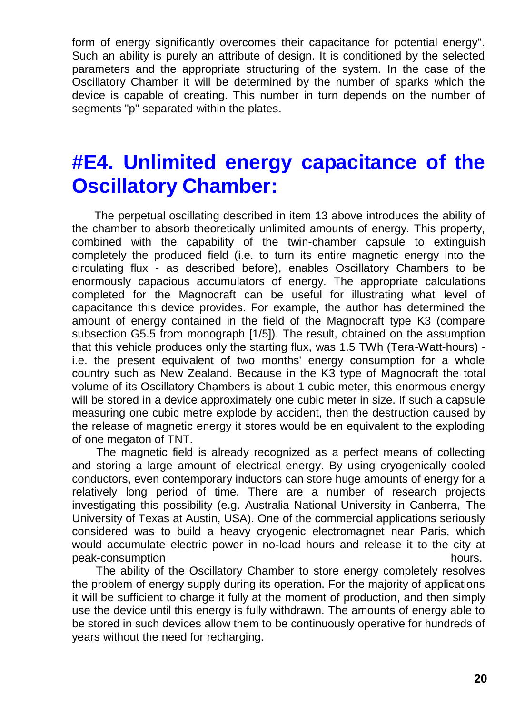form of energy significantly overcomes their capacitance for potential energy". Such an ability is purely an attribute of design. It is conditioned by the selected parameters and the appropriate structuring of the system. In the case of the Oscillatory Chamber it will be determined by the number of sparks which the device is capable of creating. This number in turn depends on the number of segments "p" separated within the plates.

#### **#E4. Unlimited energy capacitance of the Oscillatory Chamber:**

The perpetual oscillating described in item 13 above introduces the ability of the chamber to absorb theoretically unlimited amounts of energy. This property, combined with the capability of the twin-chamber capsule to extinguish completely the produced field (i.e. to turn its entire magnetic energy into the circulating flux - as described before), enables Oscillatory Chambers to be enormously capacious accumulators of energy. The appropriate calculations completed for the Magnocraft can be useful for illustrating what level of capacitance this device provides. For example, the author has determined the amount of energy contained in the field of the Magnocraft type K3 (compare subsection G5.5 from monograph [1/5]). The result, obtained on the assumption that this vehicle produces only the starting flux, was 1.5 TWh (Tera-Watt-hours) i.e. the present equivalent of two months' energy consumption for a whole country such as New Zealand. Because in the K3 type of Magnocraft the total volume of its Oscillatory Chambers is about 1 cubic meter, this enormous energy will be stored in a device approximately one cubic meter in size. If such a capsule measuring one cubic metre explode by accident, then the destruction caused by the release of magnetic energy it stores would be en equivalent to the exploding of one megaton of TNT.

The magnetic field is already recognized as a perfect means of collecting and storing a large amount of electrical energy. By using cryogenically cooled conductors, even contemporary inductors can store huge amounts of energy for a relatively long period of time. There are a number of research projects investigating this possibility (e.g. Australia National University in Canberra, The University of Texas at Austin, USA). One of the commercial applications seriously considered was to build a heavy cryogenic electromagnet near Paris, which would accumulate electric power in no-load hours and release it to the city at peak-consumption hours.

The ability of the Oscillatory Chamber to store energy completely resolves the problem of energy supply during its operation. For the majority of applications it will be sufficient to charge it fully at the moment of production, and then simply use the device until this energy is fully withdrawn. The amounts of energy able to be stored in such devices allow them to be continuously operative for hundreds of years without the need for recharging.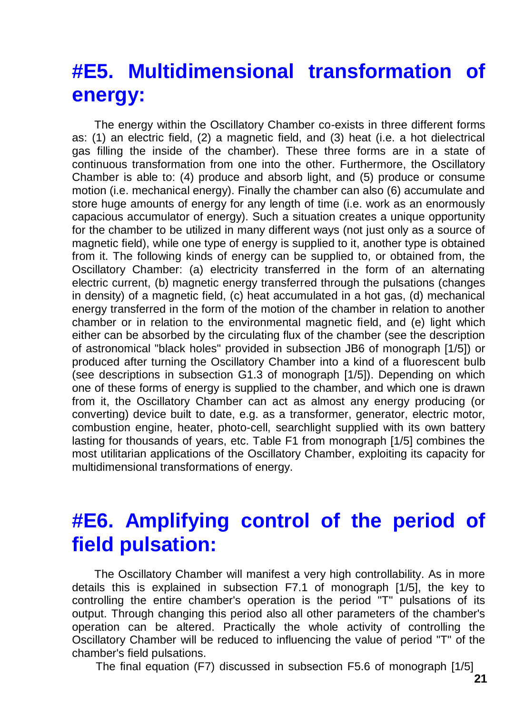#### **#E5. Multidimensional transformation of energy:**

The energy within the Oscillatory Chamber co-exists in three different forms as: (1) an electric field, (2) a magnetic field, and (3) heat (i.e. a hot dielectrical gas filling the inside of the chamber). These three forms are in a state of continuous transformation from one into the other. Furthermore, the Oscillatory Chamber is able to: (4) produce and absorb light, and (5) produce or consume motion (i.e. mechanical energy). Finally the chamber can also (6) accumulate and store huge amounts of energy for any length of time (i.e. work as an enormously capacious accumulator of energy). Such a situation creates a unique opportunity for the chamber to be utilized in many different ways (not just only as a source of magnetic field), while one type of energy is supplied to it, another type is obtained from it. The following kinds of energy can be supplied to, or obtained from, the Oscillatory Chamber: (a) electricity transferred in the form of an alternating electric current, (b) magnetic energy transferred through the pulsations (changes in density) of a magnetic field, (c) heat accumulated in a hot gas, (d) mechanical energy transferred in the form of the motion of the chamber in relation to another chamber or in relation to the environmental magnetic field, and (e) light which either can be absorbed by the circulating flux of the chamber (see the description of astronomical "black holes" provided in subsection JB6 of monograph [1/5]) or produced after turning the Oscillatory Chamber into a kind of a fluorescent bulb (see descriptions in subsection G1.3 of monograph [1/5]). Depending on which one of these forms of energy is supplied to the chamber, and which one is drawn from it, the Oscillatory Chamber can act as almost any energy producing (or converting) device built to date, e.g. as a transformer, generator, electric motor, combustion engine, heater, photo-cell, searchlight supplied with its own battery lasting for thousands of years, etc. Table F1 from monograph [1/5] combines the most utilitarian applications of the Oscillatory Chamber, exploiting its capacity for multidimensional transformations of energy.

#### **#E6. Amplifying control of the period of field pulsation:**

The Oscillatory Chamber will manifest a very high controllability. As in more details this is explained in subsection F7.1 of monograph [1/5], the key to controlling the entire chamber's operation is the period "T" pulsations of its output. Through changing this period also all other parameters of the chamber's operation can be altered. Practically the whole activity of controlling the Oscillatory Chamber will be reduced to influencing the value of period "T" of the chamber's field pulsations.

The final equation (F7) discussed in subsection F5.6 of monograph [1/5]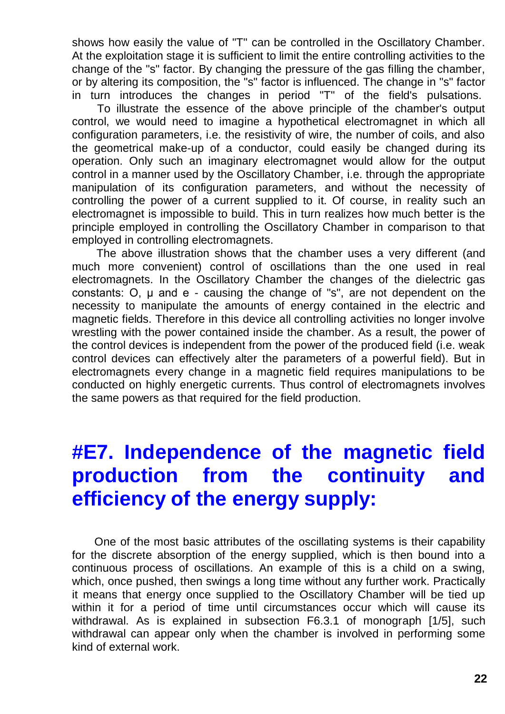shows how easily the value of "T" can be controlled in the Oscillatory Chamber. At the exploitation stage it is sufficient to limit the entire controlling activities to the change of the "s" factor. By changing the pressure of the gas filling the chamber, or by altering its composition, the "s" factor is influenced. The change in "s" factor in turn introduces the changes in period "T" of the field's pulsations.

To illustrate the essence of the above principle of the chamber's output control, we would need to imagine a hypothetical electromagnet in which all configuration parameters, i.e. the resistivity of wire, the number of coils, and also the geometrical make-up of a conductor, could easily be changed during its operation. Only such an imaginary electromagnet would allow for the output control in a manner used by the Oscillatory Chamber, i.e. through the appropriate manipulation of its configuration parameters, and without the necessity of controlling the power of a current supplied to it. Of course, in reality such an electromagnet is impossible to build. This in turn realizes how much better is the principle employed in controlling the Oscillatory Chamber in comparison to that employed in controlling electromagnets.

The above illustration shows that the chamber uses a very different (and much more convenient) control of oscillations than the one used in real electromagnets. In the Oscillatory Chamber the changes of the dielectric gas constants:  $O$ ,  $\mu$  and  $e$  - causing the change of "s", are not dependent on the necessity to manipulate the amounts of energy contained in the electric and magnetic fields. Therefore in this device all controlling activities no longer involve wrestling with the power contained inside the chamber. As a result, the power of the control devices is independent from the power of the produced field (i.e. weak control devices can effectively alter the parameters of a powerful field). But in electromagnets every change in a magnetic field requires manipulations to be conducted on highly energetic currents. Thus control of electromagnets involves the same powers as that required for the field production.

### **#E7. Independence of the magnetic field production from the continuity and efficiency of the energy supply:**

One of the most basic attributes of the oscillating systems is their capability for the discrete absorption of the energy supplied, which is then bound into a continuous process of oscillations. An example of this is a child on a swing, which, once pushed, then swings a long time without any further work. Practically it means that energy once supplied to the Oscillatory Chamber will be tied up within it for a period of time until circumstances occur which will cause its withdrawal. As is explained in subsection F6.3.1 of monograph [1/5], such withdrawal can appear only when the chamber is involved in performing some kind of external work.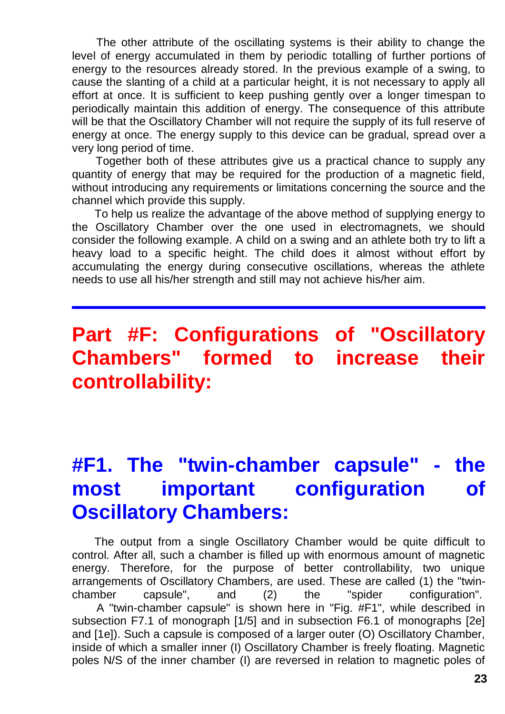The other attribute of the oscillating systems is their ability to change the level of energy accumulated in them by periodic totalling of further portions of energy to the resources already stored. In the previous example of a swing, to cause the slanting of a child at a particular height, it is not necessary to apply all effort at once. It is sufficient to keep pushing gently over a longer timespan to periodically maintain this addition of energy. The consequence of this attribute will be that the Oscillatory Chamber will not require the supply of its full reserve of energy at once. The energy supply to this device can be gradual, spread over a very long period of time.

Together both of these attributes give us a practical chance to supply any quantity of energy that may be required for the production of a magnetic field, without introducing any requirements or limitations concerning the source and the channel which provide this supply.

To help us realize the advantage of the above method of supplying energy to the Oscillatory Chamber over the one used in electromagnets, we should consider the following example. A child on a swing and an athlete both try to lift a heavy load to a specific height. The child does it almost without effort by accumulating the energy during consecutive oscillations, whereas the athlete needs to use all his/her strength and still may not achieve his/her aim.

#### **Part #F: Configurations of "Oscillatory Chambers" formed to increase their controllability:**

# **#F1. The "twin-chamber capsule" - the most important configuration of Oscillatory Chambers:**

The output from a single Oscillatory Chamber would be quite difficult to control. After all, such a chamber is filled up with enormous amount of magnetic energy. Therefore, for the purpose of better controllability, two unique arrangements of Oscillatory Chambers, are used. These are called (1) the "twinchamber capsule", and (2) the "spider configuration". A "twin-chamber capsule" is shown here in "Fig. #F1", while described in subsection F7.1 of monograph [1/5] and in subsection F6.1 of monographs [2e]

and [1e]). Such a capsule is composed of a larger outer (O) Oscillatory Chamber, inside of which a smaller inner (I) Oscillatory Chamber is freely floating. Magnetic poles N/S of the inner chamber (I) are reversed in relation to magnetic poles of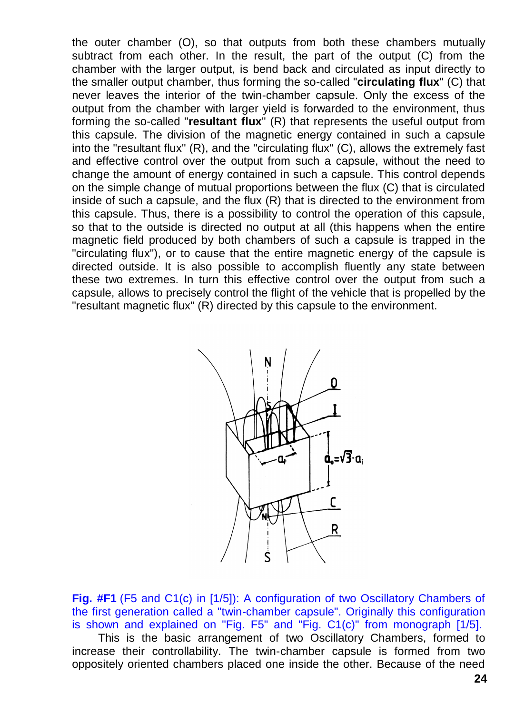the outer chamber (O), so that outputs from both these chambers mutually subtract from each other. In the result, the part of the output (C) from the chamber with the larger output, is bend back and circulated as input directly to the smaller output chamber, thus forming the so-called "**circulating flux**" (C) that never leaves the interior of the twin-chamber capsule. Only the excess of the output from the chamber with larger yield is forwarded to the environment, thus forming the so-called "**resultant flux**" (R) that represents the useful output from this capsule. The division of the magnetic energy contained in such a capsule into the "resultant flux" (R), and the "circulating flux" (C), allows the extremely fast and effective control over the output from such a capsule, without the need to change the amount of energy contained in such a capsule. This control depends on the simple change of mutual proportions between the flux (C) that is circulated inside of such a capsule, and the flux (R) that is directed to the environment from this capsule. Thus, there is a possibility to control the operation of this capsule, so that to the outside is directed no output at all (this happens when the entire magnetic field produced by both chambers of such a capsule is trapped in the "circulating flux"), or to cause that the entire magnetic energy of the capsule is directed outside. It is also possible to accomplish fluently any state between these two extremes. In turn this effective control over the output from such a capsule, allows to precisely control the flight of the vehicle that is propelled by the "resultant magnetic flux" (R) directed by this capsule to the environment.



**Fig. #F1** (F5 and C1(c) in [1/5]): A configuration of two Oscillatory Chambers of the first generation called a "twin-chamber capsule". Originally this configuration is shown and explained on "Fig. F5" and "Fig. C1(c)" from monograph [1/5]. This is the basic arrangement of two Oscillatory Chambers, formed to increase their controllability. The twin-chamber capsule is formed from two oppositely oriented chambers placed one inside the other. Because of the need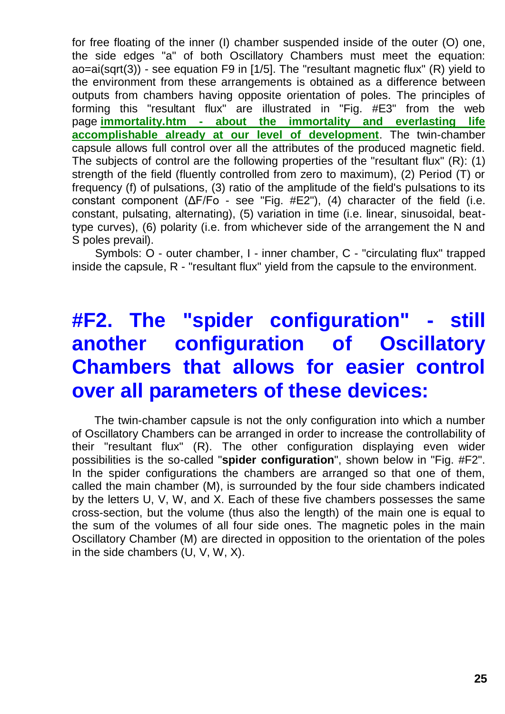for free floating of the inner (I) chamber suspended inside of the outer (O) one, the side edges "a" of both Oscillatory Chambers must meet the equation: ao=ai(sqrt(3)) - see equation F9 in [1/5]. The "resultant magnetic flux" (R) yield to the environment from these arrangements is obtained as a difference between outputs from chambers having opposite orientation of poles. The principles of forming this "resultant flux" are illustrated in "Fig. #E3" from the web page **immortality.htm - [about the immortality and everlasting life](http://tornado.zxq.net/immortality.htm)  [accomplishable already at our level of development](http://tornado.zxq.net/immortality.htm)**. The twin-chamber capsule allows full control over all the attributes of the produced magnetic field. The subjects of control are the following properties of the "resultant flux" (R): (1) strength of the field (fluently controlled from zero to maximum), (2) Period (T) or frequency (f) of pulsations, (3) ratio of the amplitude of the field's pulsations to its constant component (ΔF/Fo - see "Fig. #E2"), (4) character of the field (i.e. constant, pulsating, alternating), (5) variation in time (i.e. linear, sinusoidal, beattype curves), (6) polarity (i.e. from whichever side of the arrangement the N and S poles prevail).

Symbols: O - outer chamber, I - inner chamber, C - "circulating flux" trapped inside the capsule, R - "resultant flux" yield from the capsule to the environment.

### **#F2. The "spider configuration" - still another configuration of Oscillatory Chambers that allows for easier control over all parameters of these devices:**

The twin-chamber capsule is not the only configuration into which a number of Oscillatory Chambers can be arranged in order to increase the controllability of their "resultant flux" (R). The other configuration displaying even wider possibilities is the so-called "**spider configuration**", shown below in "Fig. #F2". In the spider configurations the chambers are arranged so that one of them, called the main chamber (M), is surrounded by the four side chambers indicated by the letters U, V, W, and X. Each of these five chambers possesses the same cross-section, but the volume (thus also the length) of the main one is equal to the sum of the volumes of all four side ones. The magnetic poles in the main Oscillatory Chamber (M) are directed in opposition to the orientation of the poles in the side chambers (U, V, W, X).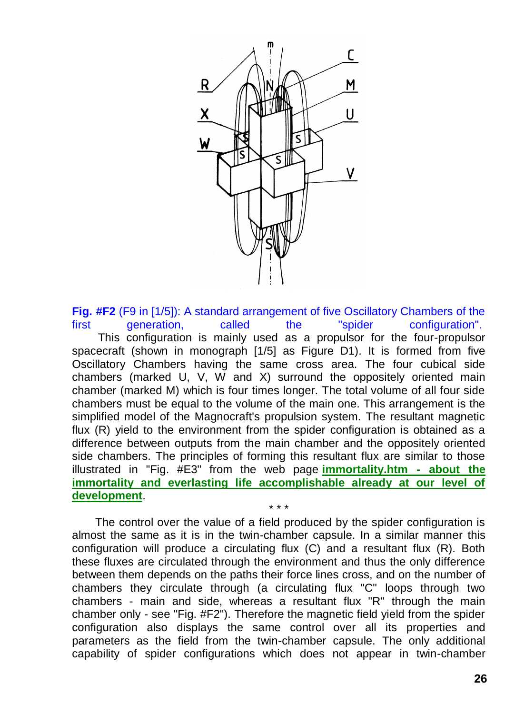

**Fig. #F2** (F9 in [1/5]): A standard arrangement of five Oscillatory Chambers of the first generation, called the "spider configuration". This configuration is mainly used as a propulsor for the four-propulsor spacecraft (shown in monograph [1/5] as Figure D1). It is formed from five Oscillatory Chambers having the same cross area. The four cubical side chambers (marked U, V, W and X) surround the oppositely oriented main chamber (marked M) which is four times longer. The total volume of all four side chambers must be equal to the volume of the main one. This arrangement is the simplified model of the Magnocraft's propulsion system. The resultant magnetic flux (R) yield to the environment from the spider configuration is obtained as a difference between outputs from the main chamber and the oppositely oriented side chambers. The principles of forming this resultant flux are similar to those illustrated in "Fig. #E3" from the web page **[immortality.htm -](http://tornado.zxq.net/immortality.htm) about the [immortality and everlasting life accomplishable already at our level of](http://tornado.zxq.net/immortality.htm)  [development](http://tornado.zxq.net/immortality.htm)**.

The control over the value of a field produced by the spider configuration is almost the same as it is in the twin-chamber capsule. In a similar manner this configuration will produce a circulating flux (C) and a resultant flux (R). Both these fluxes are circulated through the environment and thus the only difference between them depends on the paths their force lines cross, and on the number of chambers they circulate through (a circulating flux "C" loops through two chambers - main and side, whereas a resultant flux "R" through the main chamber only - see "Fig. #F2"). Therefore the magnetic field yield from the spider configuration also displays the same control over all its properties and parameters as the field from the twin-chamber capsule. The only additional capability of spider configurations which does not appear in twin-chamber

\* \* \*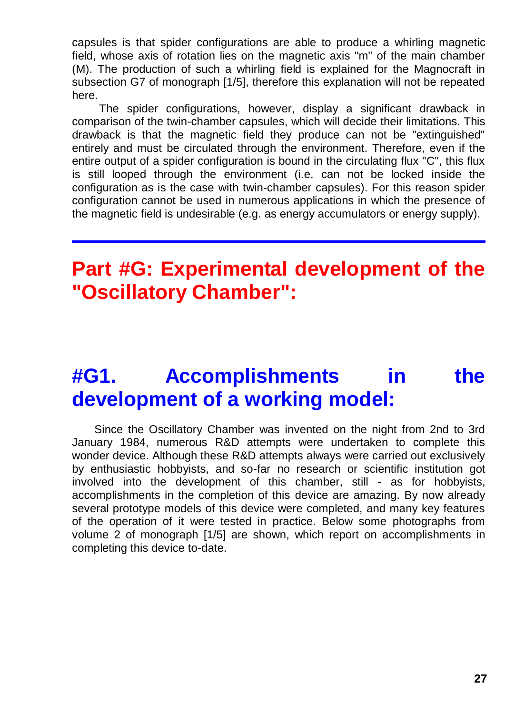capsules is that spider configurations are able to produce a whirling magnetic field, whose axis of rotation lies on the magnetic axis "m" of the main chamber (M). The production of such a whirling field is explained for the Magnocraft in subsection G7 of monograph [1/5], therefore this explanation will not be repeated here.

The spider configurations, however, display a significant drawback in comparison of the twin-chamber capsules, which will decide their limitations. This drawback is that the magnetic field they produce can not be "extinguished" entirely and must be circulated through the environment. Therefore, even if the entire output of a spider configuration is bound in the circulating flux "C", this flux is still looped through the environment (i.e. can not be locked inside the configuration as is the case with twin-chamber capsules). For this reason spider configuration cannot be used in numerous applications in which the presence of the magnetic field is undesirable (e.g. as energy accumulators or energy supply).

**Part #G: Experimental development of the "Oscillatory Chamber":**

#### **#G1. Accomplishments in the development of a working model:**

Since the Oscillatory Chamber was invented on the night from 2nd to 3rd January 1984, numerous R&D attempts were undertaken to complete this wonder device. Although these R&D attempts always were carried out exclusively by enthusiastic hobbyists, and so-far no research or scientific institution got involved into the development of this chamber, still - as for hobbyists, accomplishments in the completion of this device are amazing. By now already several prototype models of this device were completed, and many key features of the operation of it were tested in practice. Below some photographs from volume 2 of monograph [1/5] are shown, which report on accomplishments in completing this device to-date.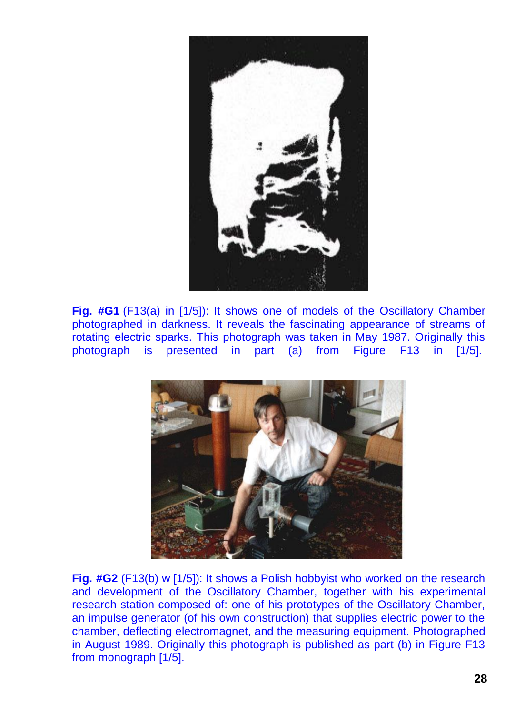

**Fig. #G1** (F13(a) in [1/5]): It shows one of models of the Oscillatory Chamber photographed in darkness. It reveals the fascinating appearance of streams of rotating electric sparks. This photograph was taken in May 1987. Originally this photograph is presented in part (a) from Figure F13 in [1/5].



**Fig. #G2** (F13(b) w [1/5]): It shows a Polish hobbyist who worked on the research and development of the Oscillatory Chamber, together with his experimental research station composed of: one of his prototypes of the Oscillatory Chamber, an impulse generator (of his own construction) that supplies electric power to the chamber, deflecting electromagnet, and the measuring equipment. Photographed in August 1989. Originally this photograph is published as part (b) in Figure F13 from monograph [1/5].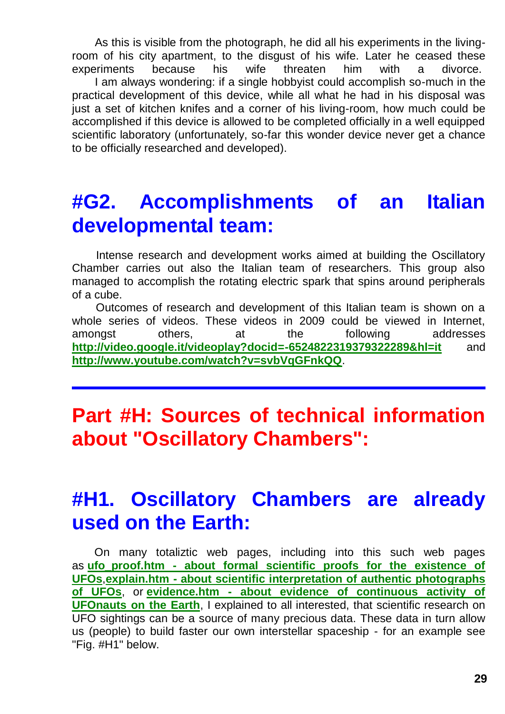As this is visible from the photograph, he did all his experiments in the livingroom of his city apartment, to the disgust of his wife. Later he ceased these experiments because his wife threaten him with a divorce. I am always wondering: if a single hobbyist could accomplish so-much in the practical development of this device, while all what he had in his disposal was just a set of kitchen knifes and a corner of his living-room, how much could be accomplished if this device is allowed to be completed officially in a well equipped scientific laboratory (unfortunately, so-far this wonder device never get a chance to be officially researched and developed).

#### **#G2. Accomplishments of an Italian developmental team:**

Intense research and development works aimed at building the Oscillatory Chamber carries out also the Italian team of researchers. This group also managed to accomplish the rotating electric spark that spins around peripherals of a cube.

Outcomes of research and development of this Italian team is shown on a whole series of videos. These videos in 2009 could be viewed in Internet, amongst others, at the following addresses **<http://video.google.it/videoplay?docid=-6524822319379322289&hl=it>** and **<http://www.youtube.com/watch?v=svbVqGFnkQQ>**.

#### **Part #H: Sources of technical information about "Oscillatory Chambers":**

#### **#H1. Oscillatory Chambers are already used on the Earth:**

On many totaliztic web pages, including into this such web pages as **ufo\_proof.htm - [about formal scientific proofs for the existence of](http://tornado.zxq.net/ufo_proof.htm)  [UFOs](http://tornado.zxq.net/ufo_proof.htm)**,**explain.htm - [about scientific interpretation of authentic photographs](http://tornado.zxq.net/explain.htm)  [of UFOs](http://tornado.zxq.net/explain.htm)**, or **evidence.htm - [about evidence of continuous activity of](http://tornado.zxq.net/evidence.htm)  [UFOnauts on the Earth](http://tornado.zxq.net/evidence.htm)**, I explained to all interested, that scientific research on UFO sightings can be a source of many precious data. These data in turn allow us (people) to build faster our own interstellar spaceship - for an example see "Fig. #H1" below.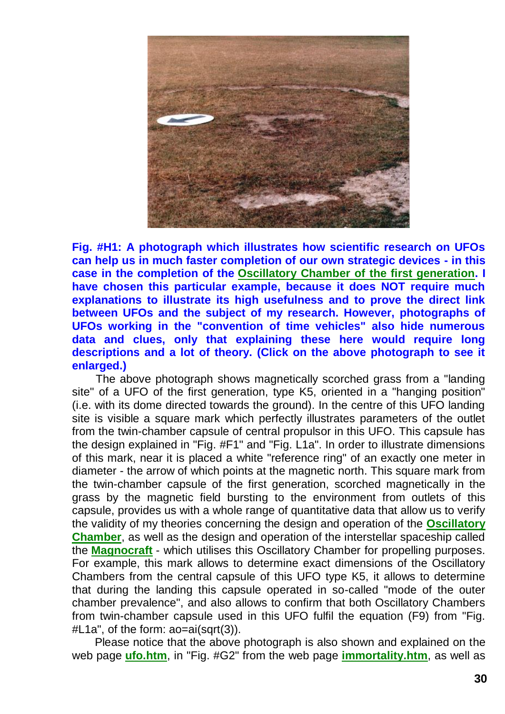

**Fig. #H1: A photograph which illustrates how scientific research on UFOs can help us in much faster completion of our own strategic devices - in this case in the completion of the [Oscillatory Chamber of the first generation.](http://tornado.zxq.net/magnocraft.htm) I have chosen this particular example, because it does NOT require much explanations to illustrate its high usefulness and to prove the direct link between UFOs and the subject of my research. However, photographs of UFOs working in the "convention of time vehicles" also hide numerous data and clues, only that explaining these here would require long descriptions and a lot of theory. (Click on the above photograph to see it enlarged.)**

The above photograph shows magnetically scorched grass from a "landing site" of a UFO of the first generation, type K5, oriented in a "hanging position" (i.e. with its dome directed towards the ground). In the centre of this UFO landing site is visible a square mark which perfectly illustrates parameters of the outlet from the twin-chamber capsule of central propulsor in this UFO. This capsule has the design explained in "Fig. #F1" and "Fig. L1a". In order to illustrate dimensions of this mark, near it is placed a white "reference ring" of an exactly one meter in diameter - the arrow of which points at the magnetic north. This square mark from the twin-chamber capsule of the first generation, scorched magnetically in the grass by the magnetic field bursting to the environment from outlets of this capsule, provides us with a whole range of quantitative data that allow us to verify the validity of my theories concerning the design and operation of the **[Oscillatory](http://tornado.zxq.net/oscillatory_chamber.htm)  [Chamber](http://tornado.zxq.net/oscillatory_chamber.htm)**, as well as the design and operation of the interstellar spaceship called the **[Magnocraft](http://tornado.zxq.net/magnocraft.htm)** - which utilises this Oscillatory Chamber for propelling purposes. For example, this mark allows to determine exact dimensions of the Oscillatory Chambers from the central capsule of this UFO type K5, it allows to determine that during the landing this capsule operated in so-called "mode of the outer chamber prevalence", and also allows to confirm that both Oscillatory Chambers from twin-chamber capsule used in this UFO fulfil the equation (F9) from "Fig. #L1a", of the form: ao=ai(sqrt(3)).

Please notice that the above photograph is also shown and explained on the web page **[ufo.htm](http://tornado.zxq.net/ufo.htm)**, in "Fig. #G2" from the web page **[immortality.htm](http://tornado.zxq.net/immortality.htm)**, as well as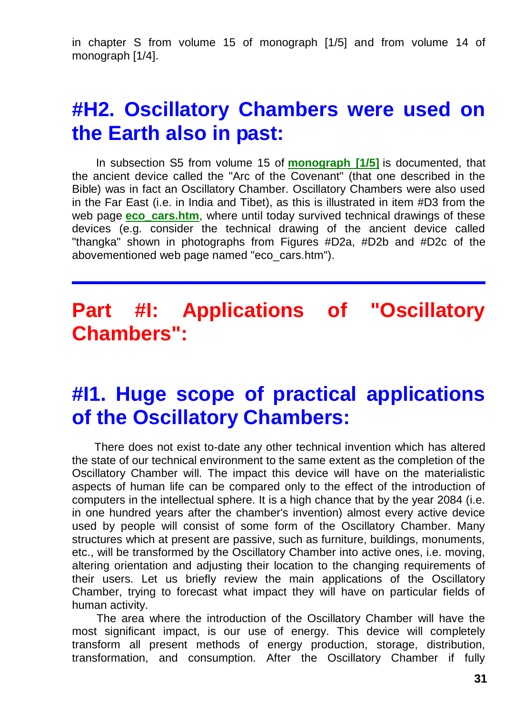in chapter S from volume 15 of monograph [1/5] and from volume 14 of monograph [1/4].

#### **#H2. Oscillatory Chambers were used on the Earth also in past:**

In subsection S5 from volume 15 of **[monograph \[1/5\]](http://tornado.zxq.net/text_1_5.htm)** is documented, that the ancient device called the "Arc of the Covenant" (that one described in the Bible) was in fact an Oscillatory Chamber. Oscillatory Chambers were also used in the Far East (i.e. in India and Tibet), as this is illustrated in item #D3 from the web page **[eco\\_cars.htm](http://tornado.zxq.net/eco_cars.htm)**, where until today survived technical drawings of these devices (e.g. consider the technical drawing of the ancient device called "thangka" shown in photographs from Figures #D2a, #D2b and #D2c of the abovementioned web page named "eco\_cars.htm").

#### **Part #I: Applications of "Oscillatory Chambers":**

#### **#I1. Huge scope of practical applications of the Oscillatory Chambers:**

There does not exist to-date any other technical invention which has altered the state of our technical environment to the same extent as the completion of the Oscillatory Chamber will. The impact this device will have on the materialistic aspects of human life can be compared only to the effect of the introduction of computers in the intellectual sphere. It is a high chance that by the year 2084 (i.e. in one hundred years after the chamber's invention) almost every active device used by people will consist of some form of the Oscillatory Chamber. Many structures which at present are passive, such as furniture, buildings, monuments, etc., will be transformed by the Oscillatory Chamber into active ones, i.e. moving, altering orientation and adjusting their location to the changing requirements of their users. Let us briefly review the main applications of the Oscillatory Chamber, trying to forecast what impact they will have on particular fields of human activity.

The area where the introduction of the Oscillatory Chamber will have the most significant impact, is our use of energy. This device will completely transform all present methods of energy production, storage, distribution, transformation, and consumption. After the Oscillatory Chamber if fully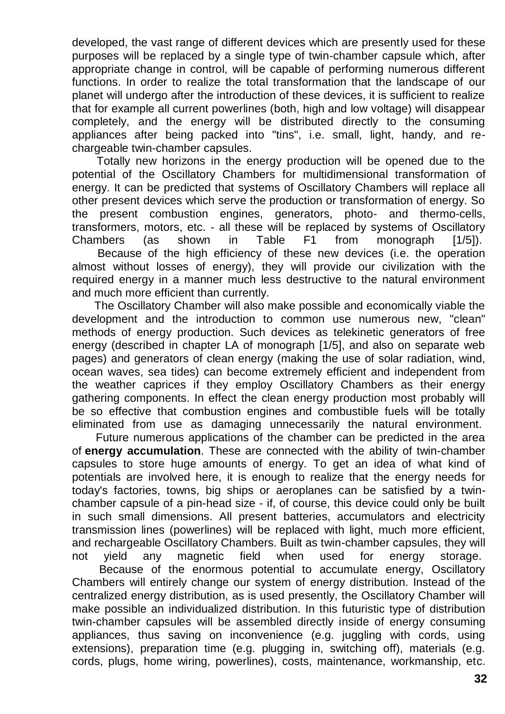developed, the vast range of different devices which are presently used for these purposes will be replaced by a single type of twin-chamber capsule which, after appropriate change in control, will be capable of performing numerous different functions. In order to realize the total transformation that the landscape of our planet will undergo after the introduction of these devices, it is sufficient to realize that for example all current powerlines (both, high and low voltage) will disappear completely, and the energy will be distributed directly to the consuming appliances after being packed into "tins", i.e. small, light, handy, and rechargeable twin-chamber capsules.

Totally new horizons in the energy production will be opened due to the potential of the Oscillatory Chambers for multidimensional transformation of energy. It can be predicted that systems of Oscillatory Chambers will replace all other present devices which serve the production or transformation of energy. So the present combustion engines, generators, photo- and thermo-cells, transformers, motors, etc. - all these will be replaced by systems of Oscillatory Chambers (as shown in Table F1 from monograph [1/5]).

Because of the high efficiency of these new devices (i.e. the operation almost without losses of energy), they will provide our civilization with the required energy in a manner much less destructive to the natural environment and much more efficient than currently.

The Oscillatory Chamber will also make possible and economically viable the development and the introduction to common use numerous new, "clean" methods of energy production. Such devices as telekinetic generators of free energy (described in chapter LA of monograph [1/5], and also on separate web pages) and generators of clean energy (making the use of solar radiation, wind, ocean waves, sea tides) can become extremely efficient and independent from the weather caprices if they employ Oscillatory Chambers as their energy gathering components. In effect the clean energy production most probably will be so effective that combustion engines and combustible fuels will be totally eliminated from use as damaging unnecessarily the natural environment.

Future numerous applications of the chamber can be predicted in the area of **energy accumulation**. These are connected with the ability of twin-chamber capsules to store huge amounts of energy. To get an idea of what kind of potentials are involved here, it is enough to realize that the energy needs for today's factories, towns, big ships or aeroplanes can be satisfied by a twinchamber capsule of a pin-head size - if, of course, this device could only be built in such small dimensions. All present batteries, accumulators and electricity transmission lines (powerlines) will be replaced with light, much more efficient, and rechargeable Oscillatory Chambers. Built as twin-chamber capsules, they will not yield any magnetic field when used for energy storage.

Because of the enormous potential to accumulate energy, Oscillatory Chambers will entirely change our system of energy distribution. Instead of the centralized energy distribution, as is used presently, the Oscillatory Chamber will make possible an individualized distribution. In this futuristic type of distribution twin-chamber capsules will be assembled directly inside of energy consuming appliances, thus saving on inconvenience (e.g. juggling with cords, using extensions), preparation time (e.g. plugging in, switching off), materials (e.g. cords, plugs, home wiring, powerlines), costs, maintenance, workmanship, etc.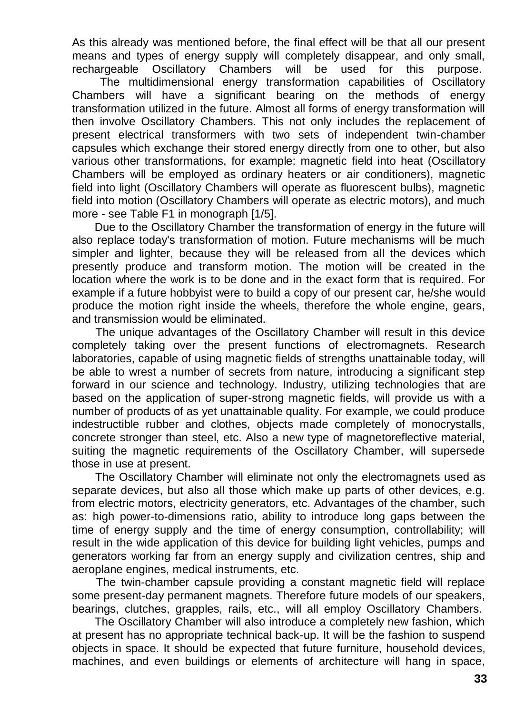As this already was mentioned before, the final effect will be that all our present means and types of energy supply will completely disappear, and only small, rechargeable Oscillatory Chambers will be used for this purpose.

The multidimensional energy transformation capabilities of Oscillatory Chambers will have a significant bearing on the methods of energy transformation utilized in the future. Almost all forms of energy transformation will then involve Oscillatory Chambers. This not only includes the replacement of present electrical transformers with two sets of independent twin-chamber capsules which exchange their stored energy directly from one to other, but also various other transformations, for example: magnetic field into heat (Oscillatory Chambers will be employed as ordinary heaters or air conditioners), magnetic field into light (Oscillatory Chambers will operate as fluorescent bulbs), magnetic field into motion (Oscillatory Chambers will operate as electric motors), and much more - see Table F1 in monograph [1/5].

Due to the Oscillatory Chamber the transformation of energy in the future will also replace today's transformation of motion. Future mechanisms will be much simpler and lighter, because they will be released from all the devices which presently produce and transform motion. The motion will be created in the location where the work is to be done and in the exact form that is required. For example if a future hobbyist were to build a copy of our present car, he/she would produce the motion right inside the wheels, therefore the whole engine, gears, and transmission would be eliminated.

The unique advantages of the Oscillatory Chamber will result in this device completely taking over the present functions of electromagnets. Research laboratories, capable of using magnetic fields of strengths unattainable today, will be able to wrest a number of secrets from nature, introducing a significant step forward in our science and technology. Industry, utilizing technologies that are based on the application of super-strong magnetic fields, will provide us with a number of products of as yet unattainable quality. For example, we could produce indestructible rubber and clothes, objects made completely of monocrystalls, concrete stronger than steel, etc. Also a new type of magnetoreflective material, suiting the magnetic requirements of the Oscillatory Chamber, will supersede those in use at present.

The Oscillatory Chamber will eliminate not only the electromagnets used as separate devices, but also all those which make up parts of other devices, e.g. from electric motors, electricity generators, etc. Advantages of the chamber, such as: high power-to-dimensions ratio, ability to introduce long gaps between the time of energy supply and the time of energy consumption, controllability; will result in the wide application of this device for building light vehicles, pumps and generators working far from an energy supply and civilization centres, ship and aeroplane engines, medical instruments, etc.

The twin-chamber capsule providing a constant magnetic field will replace some present-day permanent magnets. Therefore future models of our speakers, bearings, clutches, grapples, rails, etc., will all employ Oscillatory Chambers.

The Oscillatory Chamber will also introduce a completely new fashion, which at present has no appropriate technical back-up. It will be the fashion to suspend objects in space. It should be expected that future furniture, household devices, machines, and even buildings or elements of architecture will hang in space,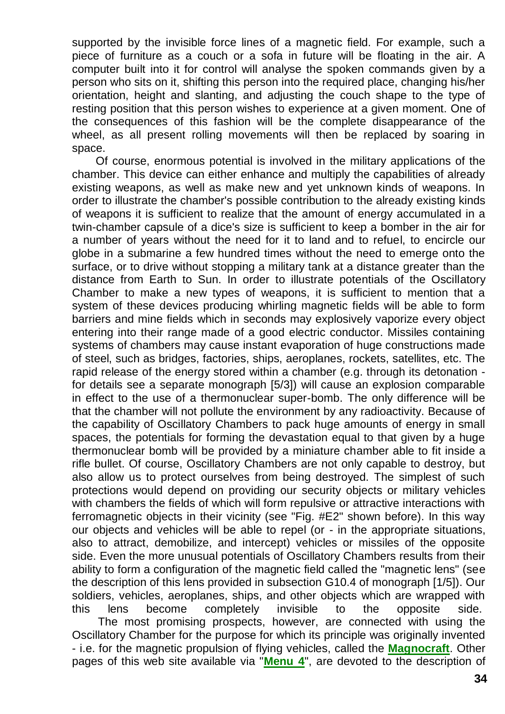supported by the invisible force lines of a magnetic field. For example, such a piece of furniture as a couch or a sofa in future will be floating in the air. A computer built into it for control will analyse the spoken commands given by a person who sits on it, shifting this person into the required place, changing his/her orientation, height and slanting, and adjusting the couch shape to the type of resting position that this person wishes to experience at a given moment. One of the consequences of this fashion will be the complete disappearance of the wheel, as all present rolling movements will then be replaced by soaring in space.

Of course, enormous potential is involved in the military applications of the chamber. This device can either enhance and multiply the capabilities of already existing weapons, as well as make new and yet unknown kinds of weapons. In order to illustrate the chamber's possible contribution to the already existing kinds of weapons it is sufficient to realize that the amount of energy accumulated in a twin-chamber capsule of a dice's size is sufficient to keep a bomber in the air for a number of years without the need for it to land and to refuel, to encircle our globe in a submarine a few hundred times without the need to emerge onto the surface, or to drive without stopping a military tank at a distance greater than the distance from Earth to Sun. In order to illustrate potentials of the Oscillatory Chamber to make a new types of weapons, it is sufficient to mention that a system of these devices producing whirling magnetic fields will be able to form barriers and mine fields which in seconds may explosively vaporize every object entering into their range made of a good electric conductor. Missiles containing systems of chambers may cause instant evaporation of huge constructions made of steel, such as bridges, factories, ships, aeroplanes, rockets, satellites, etc. The rapid release of the energy stored within a chamber (e.g. through its detonation for details see a separate monograph [5/3]) will cause an explosion comparable in effect to the use of a thermonuclear super-bomb. The only difference will be that the chamber will not pollute the environment by any radioactivity. Because of the capability of Oscillatory Chambers to pack huge amounts of energy in small spaces, the potentials for forming the devastation equal to that given by a huge thermonuclear bomb will be provided by a miniature chamber able to fit inside a rifle bullet. Of course, Oscillatory Chambers are not only capable to destroy, but also allow us to protect ourselves from being destroyed. The simplest of such protections would depend on providing our security objects or military vehicles with chambers the fields of which will form repulsive or attractive interactions with ferromagnetic objects in their vicinity (see "Fig. #E2" shown before). In this way our objects and vehicles will be able to repel (or - in the appropriate situations, also to attract, demobilize, and intercept) vehicles or missiles of the opposite side. Even the more unusual potentials of Oscillatory Chambers results from their ability to form a configuration of the magnetic field called the "magnetic lens" (see the description of this lens provided in subsection G10.4 of monograph [1/5]). Our soldiers, vehicles, aeroplanes, ships, and other objects which are wrapped with this lens become completely invisible to the opposite side.

The most promising prospects, however, are connected with using the Oscillatory Chamber for the purpose for which its principle was originally invented - i.e. for the magnetic propulsion of flying vehicles, called the **[Magnocraft](http://tornado.zxq.net/magnocraft.htm)**. Other pages of this web site available via "**[Menu 4](http://tornado.zxq.net/menu.htm)**", are devoted to the description of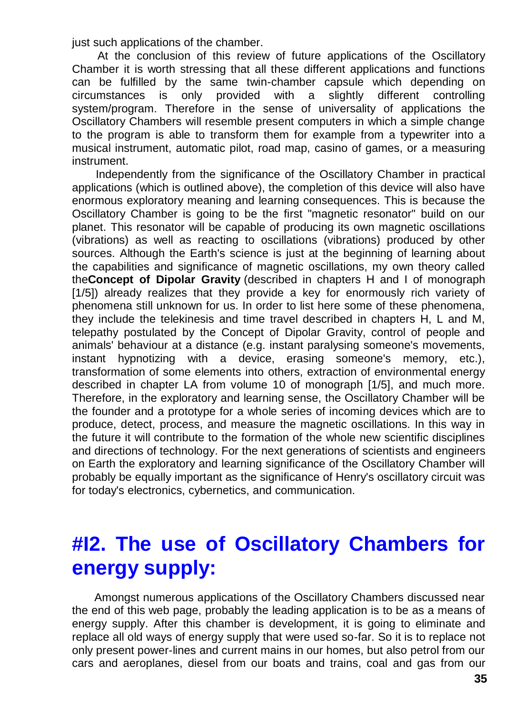just such applications of the chamber.

At the conclusion of this review of future applications of the Oscillatory Chamber it is worth stressing that all these different applications and functions can be fulfilled by the same twin-chamber capsule which depending on circumstances is only provided with a slightly different controlling system/program. Therefore in the sense of universality of applications the Oscillatory Chambers will resemble present computers in which a simple change to the program is able to transform them for example from a typewriter into a musical instrument, automatic pilot, road map, casino of games, or a measuring instrument.

Independently from the significance of the Oscillatory Chamber in practical applications (which is outlined above), the completion of this device will also have enormous exploratory meaning and learning consequences. This is because the Oscillatory Chamber is going to be the first "magnetic resonator" build on our planet. This resonator will be capable of producing its own magnetic oscillations (vibrations) as well as reacting to oscillations (vibrations) produced by other sources. Although the Earth's science is just at the beginning of learning about the capabilities and significance of magnetic oscillations, my own theory called the**Concept of Dipolar Gravity** (described in chapters H and I of monograph [1/5]) already realizes that they provide a key for enormously rich variety of phenomena still unknown for us. In order to list here some of these phenomena, they include the telekinesis and time travel described in chapters H, L and M, telepathy postulated by the Concept of Dipolar Gravity, control of people and animals' behaviour at a distance (e.g. instant paralysing someone's movements, instant hypnotizing with a device, erasing someone's memory, etc.), transformation of some elements into others, extraction of environmental energy described in chapter LA from volume 10 of monograph [1/5], and much more. Therefore, in the exploratory and learning sense, the Oscillatory Chamber will be the founder and a prototype for a whole series of incoming devices which are to produce, detect, process, and measure the magnetic oscillations. In this way in the future it will contribute to the formation of the whole new scientific disciplines and directions of technology. For the next generations of scientists and engineers on Earth the exploratory and learning significance of the Oscillatory Chamber will probably be equally important as the significance of Henry's oscillatory circuit was for today's electronics, cybernetics, and communication.

### **#I2. The use of Oscillatory Chambers for energy supply:**

Amongst numerous applications of the Oscillatory Chambers discussed near the end of this web page, probably the leading application is to be as a means of energy supply. After this chamber is development, it is going to eliminate and replace all old ways of energy supply that were used so-far. So it is to replace not only present power-lines and current mains in our homes, but also petrol from our cars and aeroplanes, diesel from our boats and trains, coal and gas from our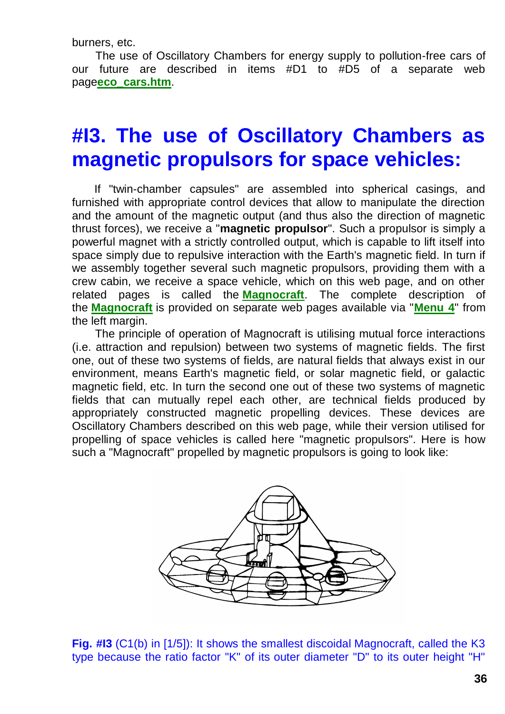burners, etc.

The use of Oscillatory Chambers for energy supply to pollution-free cars of our future are described in items #D1 to #D5 of a separate web page**[eco\\_cars.htm](http://tornado.zxq.net/eco_cars.htm)**.

#### **#I3. The use of Oscillatory Chambers as magnetic propulsors for space vehicles:**

If "twin-chamber capsules" are assembled into spherical casings, and furnished with appropriate control devices that allow to manipulate the direction and the amount of the magnetic output (and thus also the direction of magnetic thrust forces), we receive a "**magnetic propulsor**". Such a propulsor is simply a powerful magnet with a strictly controlled output, which is capable to lift itself into space simply due to repulsive interaction with the Earth's magnetic field. In turn if we assembly together several such magnetic propulsors, providing them with a crew cabin, we receive a space vehicle, which on this web page, and on other related pages is called the **[Magnocraft](http://tornado.zxq.net/magnocraft.htm)**. The complete description of the **[Magnocraft](http://tornado.zxq.net/magnocraft.htm)** is provided on separate web pages available via "**[Menu 4](http://tornado.zxq.net/menu.htm)**" from the left margin.

The principle of operation of Magnocraft is utilising mutual force interactions (i.e. attraction and repulsion) between two systems of magnetic fields. The first one, out of these two systems of fields, are natural fields that always exist in our environment, means Earth's magnetic field, or solar magnetic field, or galactic magnetic field, etc. In turn the second one out of these two systems of magnetic fields that can mutually repel each other, are technical fields produced by appropriately constructed magnetic propelling devices. These devices are Oscillatory Chambers described on this web page, while their version utilised for propelling of space vehicles is called here "magnetic propulsors". Here is how such a "Magnocraft" propelled by magnetic propulsors is going to look like:



**Fig. #13** (C1(b) in [1/5]): It shows the smallest discoidal Magnocraft, called the K3 type because the ratio factor "K" of its outer diameter "D" to its outer height "H"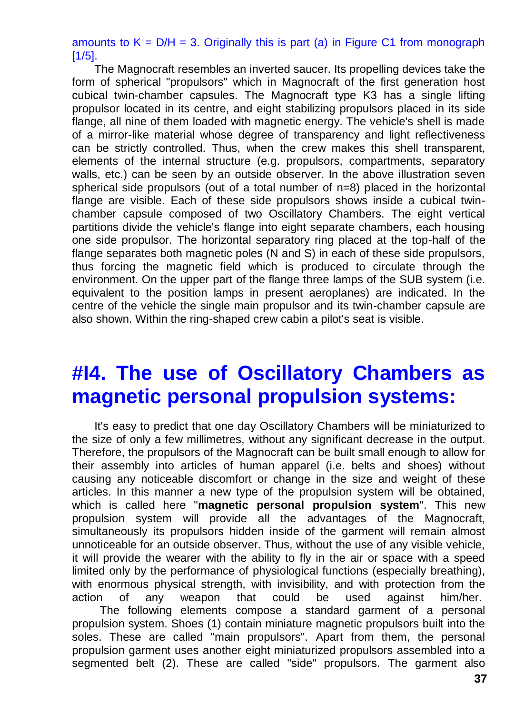amounts to  $K = D/H = 3$ . Originally this is part (a) in Figure C1 from monograph  $[1/5]$ .

The Magnocraft resembles an inverted saucer. Its propelling devices take the form of spherical "propulsors" which in Magnocraft of the first generation host cubical twin-chamber capsules. The Magnocraft type K3 has a single lifting propulsor located in its centre, and eight stabilizing propulsors placed in its side flange, all nine of them loaded with magnetic energy. The vehicle's shell is made of a mirror-like material whose degree of transparency and light reflectiveness can be strictly controlled. Thus, when the crew makes this shell transparent, elements of the internal structure (e.g. propulsors, compartments, separatory walls, etc.) can be seen by an outside observer. In the above illustration seven spherical side propulsors (out of a total number of n=8) placed in the horizontal flange are visible. Each of these side propulsors shows inside a cubical twinchamber capsule composed of two Oscillatory Chambers. The eight vertical partitions divide the vehicle's flange into eight separate chambers, each housing one side propulsor. The horizontal separatory ring placed at the top-half of the flange separates both magnetic poles (N and S) in each of these side propulsors, thus forcing the magnetic field which is produced to circulate through the environment. On the upper part of the flange three lamps of the SUB system (i.e. equivalent to the position lamps in present aeroplanes) are indicated. In the centre of the vehicle the single main propulsor and its twin-chamber capsule are also shown. Within the ring-shaped crew cabin a pilot's seat is visible.

#### **#I4. The use of Oscillatory Chambers as magnetic personal propulsion systems:**

It's easy to predict that one day Oscillatory Chambers will be miniaturized to the size of only a few millimetres, without any significant decrease in the output. Therefore, the propulsors of the Magnocraft can be built small enough to allow for their assembly into articles of human apparel (i.e. belts and shoes) without causing any noticeable discomfort or change in the size and weight of these articles. In this manner a new type of the propulsion system will be obtained, which is called here "**magnetic personal propulsion system**". This new propulsion system will provide all the advantages of the Magnocraft, simultaneously its propulsors hidden inside of the garment will remain almost unnoticeable for an outside observer. Thus, without the use of any visible vehicle, it will provide the wearer with the ability to fly in the air or space with a speed limited only by the performance of physiological functions (especially breathing), with enormous physical strength, with invisibility, and with protection from the action of any weapon that could be used against him/her.

The following elements compose a standard garment of a personal propulsion system. Shoes (1) contain miniature magnetic propulsors built into the soles. These are called "main propulsors". Apart from them, the personal propulsion garment uses another eight miniaturized propulsors assembled into a segmented belt (2). These are called "side" propulsors. The garment also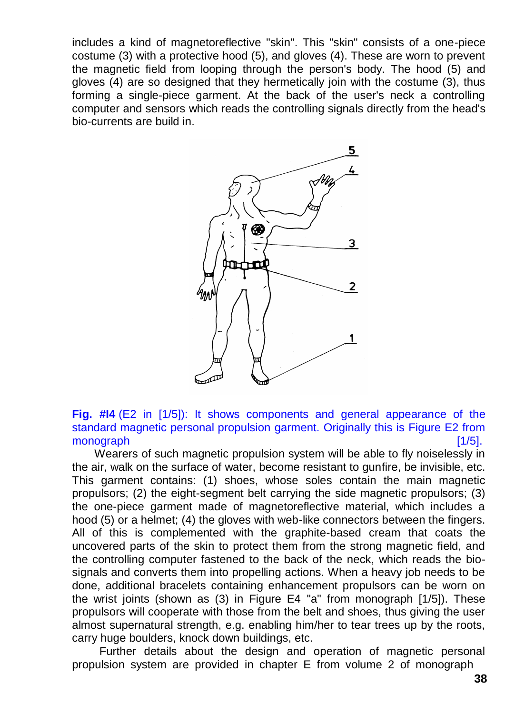includes a kind of magnetoreflective "skin". This "skin" consists of a one-piece costume (3) with a protective hood (5), and gloves (4). These are worn to prevent the magnetic field from looping through the person's body. The hood (5) and gloves (4) are so designed that they hermetically join with the costume (3), thus forming a single-piece garment. At the back of the user's neck a controlling computer and sensors which reads the controlling signals directly from the head's bio-currents are build in.



**Fig. #14** (E2 in [1/5]): It shows components and general appearance of the standard magnetic personal propulsion garment. Originally this is Figure E2 from monograph [1/5].

Wearers of such magnetic propulsion system will be able to fly noiselessly in the air, walk on the surface of water, become resistant to gunfire, be invisible, etc. This garment contains: (1) shoes, whose soles contain the main magnetic propulsors; (2) the eight-segment belt carrying the side magnetic propulsors; (3) the one-piece garment made of magnetoreflective material, which includes a hood (5) or a helmet; (4) the gloves with web-like connectors between the fingers. All of this is complemented with the graphite-based cream that coats the uncovered parts of the skin to protect them from the strong magnetic field, and the controlling computer fastened to the back of the neck, which reads the biosignals and converts them into propelling actions. When a heavy job needs to be done, additional bracelets containing enhancement propulsors can be worn on the wrist joints (shown as (3) in Figure E4 "a" from monograph [1/5]). These propulsors will cooperate with those from the belt and shoes, thus giving the user almost supernatural strength, e.g. enabling him/her to tear trees up by the roots, carry huge boulders, knock down buildings, etc.

Further details about the design and operation of magnetic personal propulsion system are provided in chapter E from volume 2 of monograph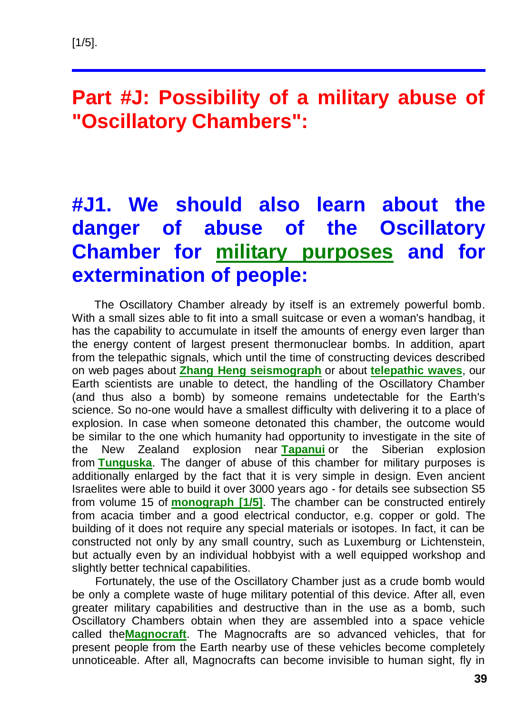#### **Part #J: Possibility of a military abuse of "Oscillatory Chambers":**

### **#J1. We should also learn about the danger of abuse of the Oscillatory Chamber for [military purposes](http://tornado.zxq.net/military_magnocraft.htm) and for extermination of people:**

The Oscillatory Chamber already by itself is an extremely powerful bomb. With a small sizes able to fit into a small suitcase or even a woman's handbag, it has the capability to accumulate in itself the amounts of energy even larger than the energy content of largest present thermonuclear bombs. In addition, apart from the telepathic signals, which until the time of constructing devices described on web pages about **[Zhang Heng seismograph](http://tornado.zxq.net/seismograph.htm)** or about **[telepathic waves](http://tornado.zxq.net/telepathy.htm)**, our Earth scientists are unable to detect, the handling of the Oscillatory Chamber (and thus also a bomb) by someone remains undetectable for the Earth's science. So no-one would have a smallest difficulty with delivering it to a place of explosion. In case when someone detonated this chamber, the outcome would be similar to the one which humanity had opportunity to investigate in the site of the New Zealand explosion near **[Tapanui](http://tornado.zxq.net/tapanui.htm)** or the Siberian explosion from **[Tunguska](http://tornado.zxq.net/tekst_5_4.htm)**. The danger of abuse of this chamber for military purposes is additionally enlarged by the fact that it is very simple in design. Even ancient Israelites were able to build it over 3000 years ago - for details see subsection S5 from volume 15 of **[monograph \[1/5\]](http://tornado.zxq.net/text_1_5.htm)**. The chamber can be constructed entirely from acacia timber and a good electrical conductor, e.g. copper or gold. The building of it does not require any special materials or isotopes. In fact, it can be constructed not only by any small country, such as Luxemburg or Lichtenstein, but actually even by an individual hobbyist with a well equipped workshop and slightly better technical capabilities.

Fortunately, the use of the Oscillatory Chamber just as a crude bomb would be only a complete waste of huge military potential of this device. After all, even greater military capabilities and destructive than in the use as a bomb, such Oscillatory Chambers obtain when they are assembled into a space vehicle called the**[Magnocraft](http://tornado.zxq.net/magnocraft.htm)**. The Magnocrafts are so advanced vehicles, that for present people from the Earth nearby use of these vehicles become completely unnoticeable. After all, Magnocrafts can become invisible to human sight, fly in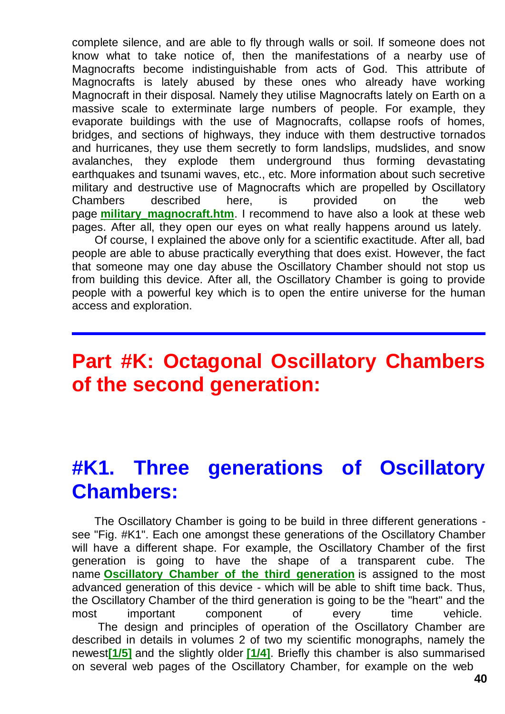complete silence, and are able to fly through walls or soil. If someone does not know what to take notice of, then the manifestations of a nearby use of Magnocrafts become indistinguishable from acts of God. This attribute of Magnocrafts is lately abused by these ones who already have working Magnocraft in their disposal. Namely they utilise Magnocrafts lately on Earth on a massive scale to exterminate large numbers of people. For example, they evaporate buildings with the use of Magnocrafts, collapse roofs of homes, bridges, and sections of highways, they induce with them destructive tornados and hurricanes, they use them secretly to form landslips, mudslides, and snow avalanches, they explode them underground thus forming devastating earthquakes and tsunami waves, etc., etc. More information about such secretive military and destructive use of Magnocrafts which are propelled by Oscillatory Chambers described here, is provided on the web page **[military\\_magnocraft.htm](http://tornado.zxq.net/military_magnocraft.htm)**. I recommend to have also a look at these web pages. After all, they open our eyes on what really happens around us lately.

Of course, I explained the above only for a scientific exactitude. After all, bad people are able to abuse practically everything that does exist. However, the fact that someone may one day abuse the Oscillatory Chamber should not stop us from building this device. After all, the Oscillatory Chamber is going to provide people with a powerful key which is to open the entire universe for the human access and exploration.

#### **Part #K: Octagonal Oscillatory Chambers of the second generation:**

#### **#K1. Three generations of Oscillatory Chambers:**

The Oscillatory Chamber is going to be build in three different generations see "Fig. #K1". Each one amongst these generations of the Oscillatory Chamber will have a different shape. For example, the Oscillatory Chamber of the first generation is going to have the shape of a transparent cube. The name **Oscillatory [Chamber of the third generation](http://tornado.zxq.net/oscillatory_chamber.htm)** is assigned to the most advanced generation of this device - which will be able to shift time back. Thus, the Oscillatory Chamber of the third generation is going to be the "heart" and the most important component of every time vehicle. The design and principles of operation of the Oscillatory Chamber are described in details in volumes 2 of two my scientific monographs, namely the newest**[\[1/5\]](http://tornado.zxq.net/text_1_5.htm)** and the slightly older **[\[1/4\]](http://tornado.zxq.net/text_1_4.htm)**. Briefly this chamber is also summarised on several web pages of the Oscillatory Chamber, for example on the web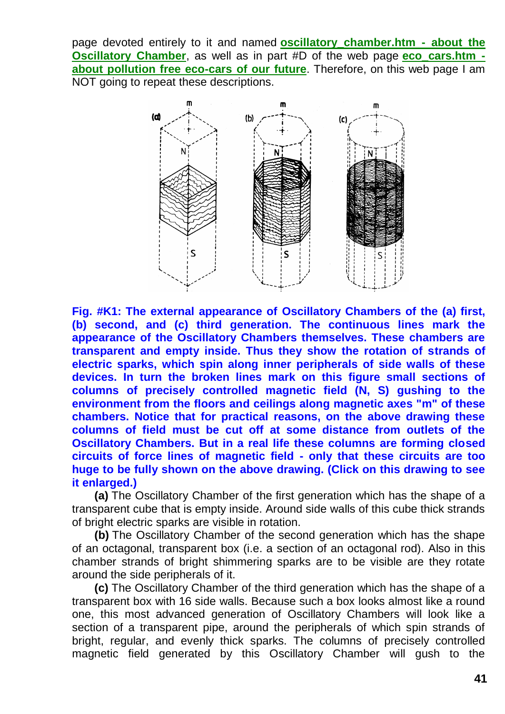page devoted entirely to it and named **[oscillatory\\_chamber.htm -](http://tornado.zxq.net/oscillatory_chamber.htm) about the [Oscillatory Chamber](http://tornado.zxq.net/oscillatory_chamber.htm)**, as well as in part #D of the web page **[eco\\_cars.htm](http://tornado.zxq.net/eco_cars.htm)  [about pollution free eco-cars](http://tornado.zxq.net/eco_cars.htm) of our future**. Therefore, on this web page I am NOT going to repeat these descriptions.



**Fig. #K1: The external appearance of Oscillatory Chambers of the (a) first, (b) second, and (c) third generation. The continuous lines mark the appearance of the Oscillatory Chambers themselves. These chambers are transparent and empty inside. Thus they show the rotation of strands of electric sparks, which spin along inner peripherals of side walls of these devices. In turn the broken lines mark on this figure small sections of columns of precisely controlled magnetic field (N, S) gushing to the environment from the floors and ceilings along magnetic axes "m" of these chambers. Notice that for practical reasons, on the above drawing these columns of field must be cut off at some distance from outlets of the Oscillatory Chambers. But in a real life these columns are forming closed circuits of force lines of magnetic field - only that these circuits are too huge to be fully shown on the above drawing. (Click on this drawing to see it enlarged.)**

**(a)** The Oscillatory Chamber of the first generation which has the shape of a transparent cube that is empty inside. Around side walls of this cube thick strands of bright electric sparks are visible in rotation.

**(b)** The Oscillatory Chamber of the second generation which has the shape of an octagonal, transparent box (i.e. a section of an octagonal rod). Also in this chamber strands of bright shimmering sparks are to be visible are they rotate around the side peripherals of it.

**(c)** The Oscillatory Chamber of the third generation which has the shape of a transparent box with 16 side walls. Because such a box looks almost like a round one, this most advanced generation of Oscillatory Chambers will look like a section of a transparent pipe, around the peripherals of which spin strands of bright, regular, and evenly thick sparks. The columns of precisely controlled magnetic field generated by this Oscillatory Chamber will gush to the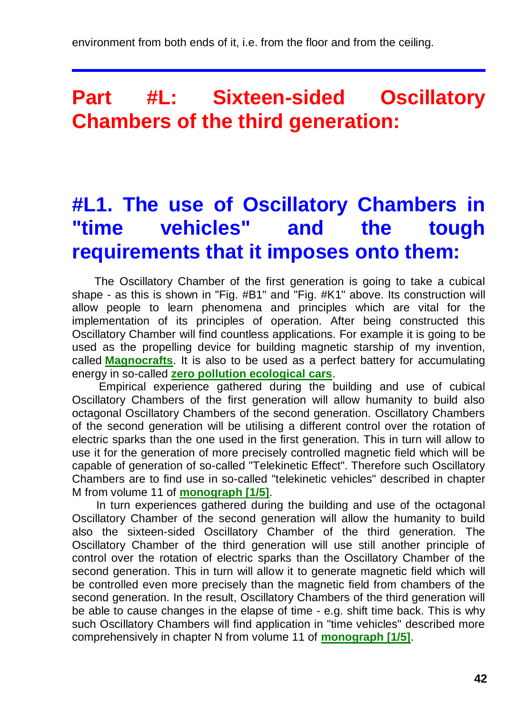#### **Part #L: Sixteen-sided Oscillatory Chambers of the third generation:**

#### **#L1. The use of Oscillatory Chambers in "time vehicles" and the tough requirements that it imposes onto them:**

The Oscillatory Chamber of the first generation is going to take a cubical shape - as this is shown in "Fig. #B1" and "Fig. #K1" above. Its construction will allow people to learn phenomena and principles which are vital for the implementation of its principles of operation. After being constructed this Oscillatory Chamber will find countless applications. For example it is going to be used as the propelling device for building magnetic starship of my invention, called **[Magnocrafts](http://tornado.zxq.net/magnocraft.htm)**. It is also to be used as a perfect battery for accumulating energy in so-called **[zero pollution ecological cars](http://tornado.zxq.net/eco_cars.htm)**.

Empirical experience gathered during the building and use of cubical Oscillatory Chambers of the first generation will allow humanity to build also octagonal Oscillatory Chambers of the second generation. Oscillatory Chambers of the second generation will be utilising a different control over the rotation of electric sparks than the one used in the first generation. This in turn will allow to use it for the generation of more precisely controlled magnetic field which will be capable of generation of so-called "Telekinetic Effect". Therefore such Oscillatory Chambers are to find use in so-called "telekinetic vehicles" described in chapter M from volume 11 of **[monograph \[1/5\]](http://tornado.zxq.net/text_1_5.htm)**.

In turn experiences gathered during the building and use of the octagonal Oscillatory Chamber of the second generation will allow the humanity to build also the sixteen-sided Oscillatory Chamber of the third generation. The Oscillatory Chamber of the third generation will use still another principle of control over the rotation of electric sparks than the Oscillatory Chamber of the second generation. This in turn will allow it to generate magnetic field which will be controlled even more precisely than the magnetic field from chambers of the second generation. In the result, Oscillatory Chambers of the third generation will be able to cause changes in the elapse of time - e.g. shift time back. This is why such Oscillatory Chambers will find application in "time vehicles" described more comprehensively in chapter N from volume 11 of **[monograph \[1/5\]](http://tornado.zxq.net/text_1_5.htm)**.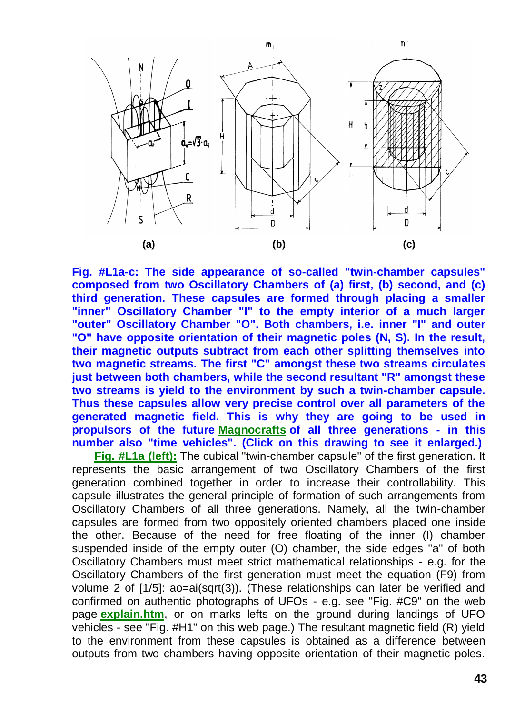

**Fig. #L1a-c: The side appearance of so-called "twin-chamber capsules" composed from two Oscillatory Chambers of (a) first, (b) second, and (c) third generation. These capsules are formed through placing a smaller "inner" Oscillatory Chamber "I" to the empty interior of a much larger "outer" Oscillatory Chamber "O". Both chambers, i.e. inner "I" and outer "O" have opposite orientation of their magnetic poles (N, S). In the result, their magnetic outputs subtract from each other splitting themselves into two magnetic streams. The first "C" amongst these two streams circulates just between both chambers, while the second resultant "R" amongst these two streams is yield to the environment by such a twin-chamber capsule. Thus these capsules allow very precise control over all parameters of the generated magnetic field. This is why they are going to be used in propulsors of the future [Magnocrafts](http://tornado.zxq.net/magnocraft.htm) of all three generations - in this number also "time vehicles". (Click on this drawing to see it enlarged.)**

**[Fig. #L1a \(left\):](http://tornado.zxq.net/14/14_c05.gif)** The cubical "twin-chamber capsule" of the first generation. It represents the basic arrangement of two Oscillatory Chambers of the first generation combined together in order to increase their controllability. This capsule illustrates the general principle of formation of such arrangements from Oscillatory Chambers of all three generations. Namely, all the twin-chamber capsules are formed from two oppositely oriented chambers placed one inside the other. Because of the need for free floating of the inner (I) chamber suspended inside of the empty outer (O) chamber, the side edges "a" of both Oscillatory Chambers must meet strict mathematical relationships - e.g. for the Oscillatory Chambers of the first generation must meet the equation (F9) from volume 2 of [1/5]: ao=ai(sqrt(3)). (These relationships can later be verified and confirmed on authentic photographs of UFOs - e.g. see "Fig. #C9" on the web page **[explain.htm](http://tornado.zxq.net/explain.htm)**, or on marks lefts on the ground during landings of UFO vehicles - see "Fig. #H1" on this web page.) The resultant magnetic field (R) yield to the environment from these capsules is obtained as a difference between outputs from two chambers having opposite orientation of their magnetic poles.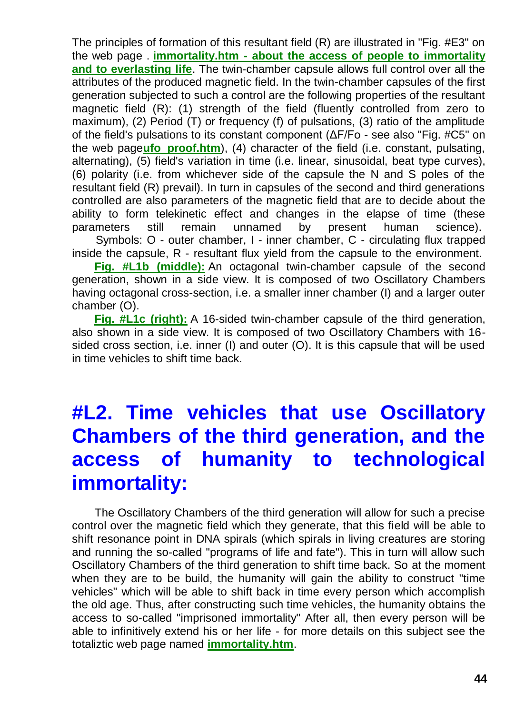The principles of formation of this resultant field (R) are illustrated in "Fig. #E3" on the web page . **immortality.htm - [about the access of people to immortality](http://tornado.zxq.net/immortality.htm)  [and to everlasting life](http://tornado.zxq.net/immortality.htm)**. The twin-chamber capsule allows full control over all the attributes of the produced magnetic field. In the twin-chamber capsules of the first generation subjected to such a control are the following properties of the resultant magnetic field (R): (1) strength of the field (fluently controlled from zero to maximum), (2) Period (T) or frequency (f) of pulsations, (3) ratio of the amplitude of the field's pulsations to its constant component (ΔF/Fo - see also "Fig. #C5" on the web page**[ufo\\_proof.htm](http://tornado.zxq.net/ufo_proof.htm)**), (4) character of the field (i.e. constant, pulsating, alternating), (5) field's variation in time (i.e. linear, sinusoidal, beat type curves), (6) polarity (i.e. from whichever side of the capsule the N and S poles of the resultant field (R) prevail). In turn in capsules of the second and third generations controlled are also parameters of the magnetic field that are to decide about the ability to form telekinetic effect and changes in the elapse of time (these parameters still remain unnamed by present human science).

Symbols: O - outer chamber, I - inner chamber, C - circulating flux trapped inside the capsule, R - resultant flux yield from the capsule to the environment.

**[Fig. #L1b \(middle\):](http://tornado.zxq.net/14/14_c08_2s.gif)** An octagonal twin-chamber capsule of the second generation, shown in a side view. It is composed of two Oscillatory Chambers having octagonal cross-section, i.e. a smaller inner chamber (I) and a larger outer chamber (O).

**[Fig. #L1c \(right\):](http://tornado.zxq.net/14/14_c08_3s.gif)** A 16-sided twin-chamber capsule of the third generation, also shown in a side view. It is composed of two Oscillatory Chambers with 16 sided cross section, i.e. inner (I) and outer (O). It is this capsule that will be used in time vehicles to shift time back.

### **#L2. Time vehicles that use Oscillatory Chambers of the third generation, and the access of humanity to technological immortality:**

The Oscillatory Chambers of the third generation will allow for such a precise control over the magnetic field which they generate, that this field will be able to shift resonance point in DNA spirals (which spirals in living creatures are storing and running the so-called "programs of life and fate"). This in turn will allow such Oscillatory Chambers of the third generation to shift time back. So at the moment when they are to be build, the humanity will gain the ability to construct "time vehicles" which will be able to shift back in time every person which accomplish the old age. Thus, after constructing such time vehicles, the humanity obtains the access to so-called "imprisoned immortality" After all, then every person will be able to infinitively extend his or her life - for more details on this subject see the totaliztic web page named **[immortality.htm](http://tornado.zxq.net/immortality.htm)**.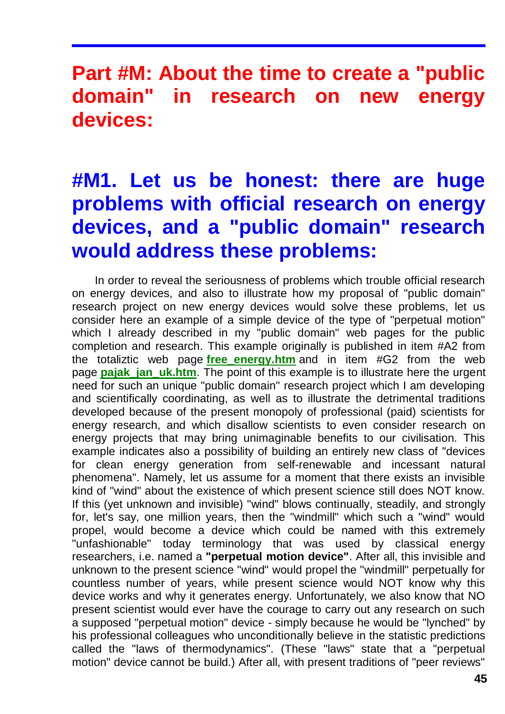**Part #M: About the time to create a "public domain" in research on new energy devices:**

#### **#M1. Let us be honest: there are huge problems with official research on energy devices, and a "public domain" research would address these problems:**

In order to reveal the seriousness of problems which trouble official research on energy devices, and also to illustrate how my proposal of "public domain" research project on new energy devices would solve these problems, let us consider here an example of a simple device of the type of "perpetual motion" which I already described in my "public domain" web pages for the public completion and research. This example originally is published in item #A2 from the totaliztic web page free energy.htm and in item #G2 from the web page **[pajak\\_jan\\_uk.htm](http://tornado.zxq.net/pajak_jan_uk.htm)**. The point of this example is to illustrate here the urgent need for such an unique "public domain" research project which I am developing and scientifically coordinating, as well as to illustrate the detrimental traditions developed because of the present monopoly of professional (paid) scientists for energy research, and which disallow scientists to even consider research on energy projects that may bring unimaginable benefits to our civilisation. This example indicates also a possibility of building an entirely new class of "devices for clean energy generation from self-renewable and incessant natural phenomena". Namely, let us assume for a moment that there exists an invisible kind of "wind" about the existence of which present science still does NOT know. If this (yet unknown and invisible) "wind" blows continually, steadily, and strongly for, let's say, one million years, then the "windmill" which such a "wind" would propel, would become a device which could be named with this extremely "unfashionable" today terminology that was used by classical energy researchers, i.e. named a **"perpetual motion device"**. After all, this invisible and unknown to the present science "wind" would propel the "windmill" perpetually for countless number of years, while present science would NOT know why this device works and why it generates energy. Unfortunately, we also know that NO present scientist would ever have the courage to carry out any research on such a supposed "perpetual motion" device - simply because he would be "lynched" by his professional colleagues who unconditionally believe in the statistic predictions called the "laws of thermodynamics". (These "laws" state that a "perpetual motion" device cannot be build.) After all, with present traditions of "peer reviews"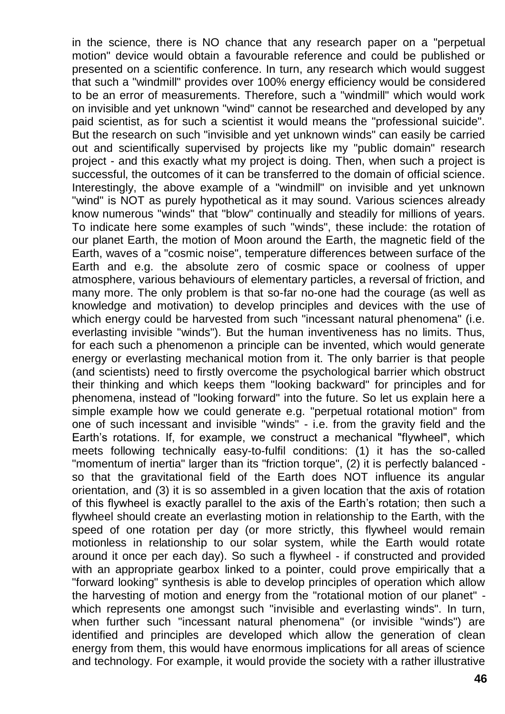in the science, there is NO chance that any research paper on a "perpetual motion" device would obtain a favourable reference and could be published or presented on a scientific conference. In turn, any research which would suggest that such a "windmill" provides over 100% energy efficiency would be considered to be an error of measurements. Therefore, such a "windmill" which would work on invisible and yet unknown "wind" cannot be researched and developed by any paid scientist, as for such a scientist it would means the "professional suicide". But the research on such "invisible and yet unknown winds" can easily be carried out and scientifically supervised by projects like my "public domain" research project - and this exactly what my project is doing. Then, when such a project is successful, the outcomes of it can be transferred to the domain of official science. Interestingly, the above example of a "windmill" on invisible and yet unknown "wind" is NOT as purely hypothetical as it may sound. Various sciences already know numerous "winds" that "blow" continually and steadily for millions of years. To indicate here some examples of such "winds", these include: the rotation of our planet Earth, the motion of Moon around the Earth, the magnetic field of the Earth, waves of a "cosmic noise", temperature differences between surface of the Earth and e.g. the absolute zero of cosmic space or coolness of upper atmosphere, various behaviours of elementary particles, a reversal of friction, and many more. The only problem is that so-far no-one had the courage (as well as knowledge and motivation) to develop principles and devices with the use of which energy could be harvested from such "incessant natural phenomena" (i.e. everlasting invisible "winds"). But the human inventiveness has no limits. Thus, for each such a phenomenon a principle can be invented, which would generate energy or everlasting mechanical motion from it. The only barrier is that people (and scientists) need to firstly overcome the psychological barrier which obstruct their thinking and which keeps them "looking backward" for principles and for phenomena, instead of "looking forward" into the future. So let us explain here a simple example how we could generate e.g. "perpetual rotational motion" from one of such incessant and invisible "winds" - i.e. from the gravity field and the Earth's rotations. If, for example, we construct a mechanical "flywheel", which meets following technically easy-to-fulfil conditions: (1) it has the so-called "momentum of inertia" larger than its "friction torque", (2) it is perfectly balanced so that the gravitational field of the Earth does NOT influence its angular orientation, and (3) it is so assembled in a given location that the axis of rotation of this flywheel is exactly parallel to the axis of the Earth's rotation; then such a flywheel should create an everlasting motion in relationship to the Earth, with the speed of one rotation per day (or more strictly, this flywheel would remain motionless in relationship to our solar system, while the Earth would rotate around it once per each day). So such a flywheel - if constructed and provided with an appropriate gearbox linked to a pointer, could prove empirically that a "forward looking" synthesis is able to develop principles of operation which allow the harvesting of motion and energy from the "rotational motion of our planet" which represents one amongst such "invisible and everlasting winds". In turn, when further such "incessant natural phenomena" (or invisible "winds") are identified and principles are developed which allow the generation of clean energy from them, this would have enormous implications for all areas of science and technology. For example, it would provide the society with a rather illustrative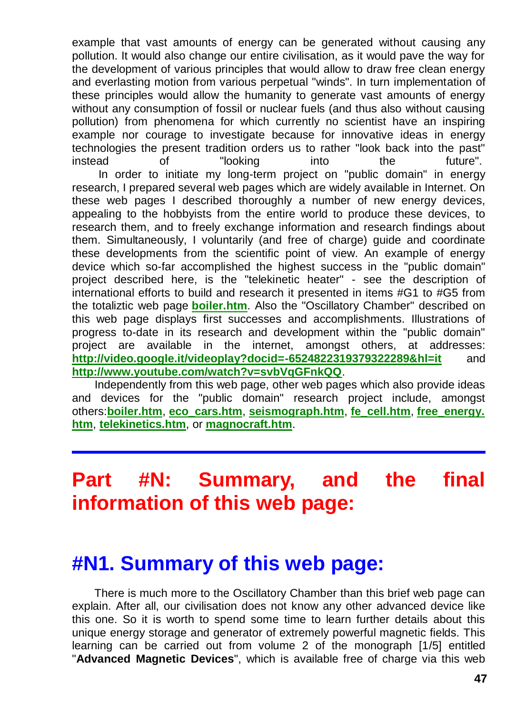example that vast amounts of energy can be generated without causing any pollution. It would also change our entire civilisation, as it would pave the way for the development of various principles that would allow to draw free clean energy and everlasting motion from various perpetual "winds". In turn implementation of these principles would allow the humanity to generate vast amounts of energy without any consumption of fossil or nuclear fuels (and thus also without causing pollution) from phenomena for which currently no scientist have an inspiring example nor courage to investigate because for innovative ideas in energy technologies the present tradition orders us to rather "look back into the past" instead of "looking into the future". In order to initiate my long-term project on "public domain" in energy research, I prepared several web pages which are widely available in Internet. On these web pages I described thoroughly a number of new energy devices, appealing to the hobbyists from the entire world to produce these devices, to research them, and to freely exchange information and research findings about them. Simultaneously, I voluntarily (and free of charge) guide and coordinate these developments from the scientific point of view. An example of energy device which so-far accomplished the highest success in the "public domain" project described here, is the "telekinetic heater" - see the description of international efforts to build and research it presented in items #G1 to #G5 from the totaliztic web page **[boiler.htm](http://tornado.zxq.net/boiler.htm)**. Also the "Oscillatory Chamber" described on this web page displays first successes and accomplishments. Illustrations of progress to-date in its research and development within the "public domain"

project are available in the internet, amongst others, at addresses: **<http://video.google.it/videoplay?docid=-6524822319379322289&hl=it>** and **<http://www.youtube.com/watch?v=svbVqGFnkQQ>**.

Independently from this web page, other web pages which also provide ideas and devices for the "public domain" research project include, amongst others:**[boiler.htm](http://tornado.zxq.net/boiler.htm)**, **[eco\\_cars.htm](http://tornado.zxq.net/eco_cars.htm)**, **[seismograph.htm](http://tornado.zxq.net/seismograph.htm)**, **[fe\\_cell.htm](http://tornado.zxq.net/fe_cell.htm)**, **[free\\_energy.](http://tornado.zxq.net/free_energy.htm) [htm](http://tornado.zxq.net/free_energy.htm)**, **[telekinetics.htm](http://tornado.zxq.net/telekinetics.htm)**, or **[magnocraft.htm](http://tornado.zxq.net/magnocraft.htm)**.

#### **Part #N: Summary, and the final information of this web page:**

#### **#N1. Summary of this web page:**

There is much more to the Oscillatory Chamber than this brief web page can explain. After all, our civilisation does not know any other advanced device like this one. So it is worth to spend some time to learn further details about this unique energy storage and generator of extremely powerful magnetic fields. This learning can be carried out from volume 2 of the monograph [1/5] entitled "**Advanced Magnetic Devices**", which is available free of charge via this web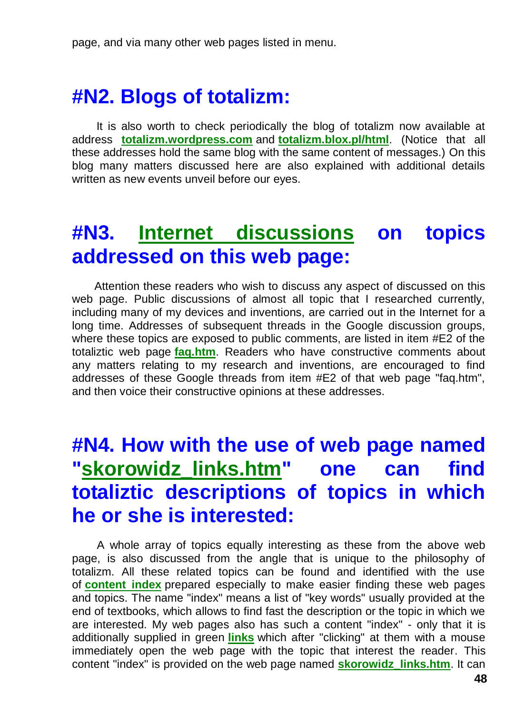#### **#N2. Blogs of totalizm:**

It is also worth to check periodically the blog of totalizm now available at address **[totalizm.wordpress.com](http://totalizm.wordpress.com/)** and **[totalizm.blox.pl/html](http://totalizm.blox.pl/html/)**. (Notice that all these addresses hold the same blog with the same content of messages.) On this blog many matters discussed here are also explained with additional details written as new events unveil before our eyes.

#### **#N3. [Internet discussions](http://www.totalizm.eu/) on topics addressed on this web page:**

Attention these readers who wish to discuss any aspect of discussed on this web page. Public discussions of almost all topic that I researched currently, including many of my devices and inventions, are carried out in the Internet for a long time. Addresses of subsequent threads in the Google discussion groups, where these topics are exposed to public comments, are listed in item #E2 of the totaliztic web page **[faq.htm](http://tornado.zxq.net/faq.htm)**. Readers who have constructive comments about any matters relating to my research and inventions, are encouraged to find addresses of these Google threads from item #E2 of that web page "faq.htm", and then voice their constructive opinions at these addresses.

#### **#N4. How with the use of web page named ["skorowidz\\_links.htm"](http://tornado.zxq.net/skorowidz_links.htm) one can find totaliztic descriptions of topics in which he or she is interested:**

A whole array of topics equally interesting as these from the above web page, is also discussed from the angle that is unique to the philosophy of totalizm. All these related topics can be found and identified with the use of **[content index](http://tornado.zxq.net/skorowidz_links.htm)** prepared especially to make easier finding these web pages and topics. The name "index" means a list of "key words" usually provided at the end of textbooks, which allows to find fast the description or the topic in which we are interested. My web pages also has such a content "index" - only that it is additionally supplied in green **[links](http://tornado.zxq.net/newzealand.htm)** which after "clicking" at them with a mouse immediately open the web page with the topic that interest the reader. This content "index" is provided on the web page named **[skorowidz\\_links.htm](http://tornado.zxq.net/skorowidz_links.htm)**. It can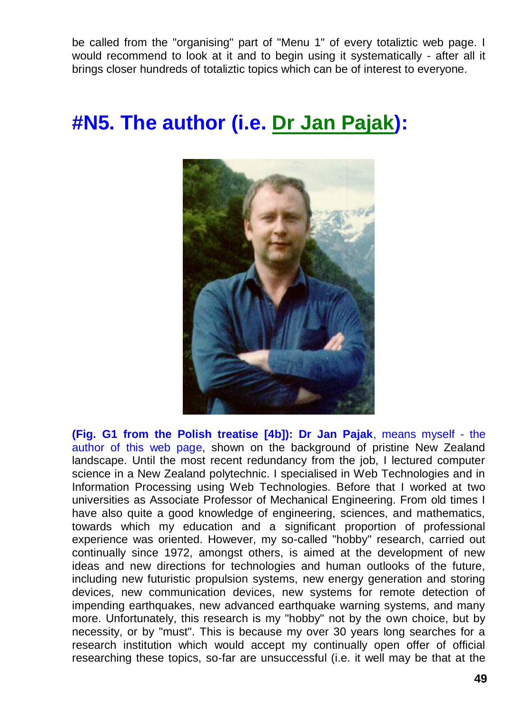be called from the "organising" part of "Menu 1" of every totaliztic web page. I would recommend to look at it and to begin using it systematically - after all it brings closer hundreds of totaliztic topics which can be of interest to everyone.

#### **#N5. The author (i.e. [Dr Jan Pajak\)](http://tornado.zxq.net/pajak_jan_uk.htm):**



**(Fig. G1 from the Polish treatise [4b]): Dr Jan Pajak**, means myself - the author of this web page, shown on the background of pristine New Zealand landscape. Until the most recent redundancy from the job, I lectured computer science in a New Zealand polytechnic. I specialised in Web Technologies and in Information Processing using Web Technologies. Before that I worked at two universities as Associate Professor of Mechanical Engineering. From old times I have also quite a good knowledge of engineering, sciences, and mathematics, towards which my education and a significant proportion of professional experience was oriented. However, my so-called "hobby" research, carried out continually since 1972, amongst others, is aimed at the development of new ideas and new directions for technologies and human outlooks of the future, including new futuristic propulsion systems, new energy generation and storing devices, new communication devices, new systems for remote detection of impending earthquakes, new advanced earthquake warning systems, and many more. Unfortunately, this research is my "hobby" not by the own choice, but by necessity, or by "must". This is because my over 30 years long searches for a research institution which would accept my continually open offer of official researching these topics, so-far are unsuccessful (i.e. it well may be that at the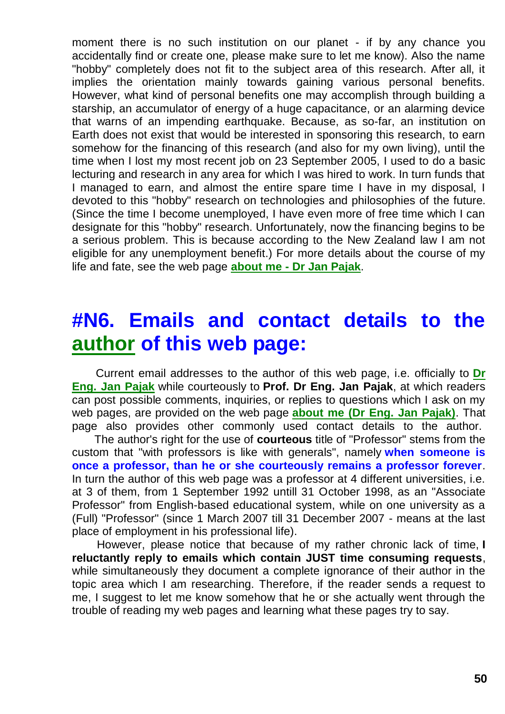moment there is no such institution on our planet - if by any chance you accidentally find or create one, please make sure to let me know). Also the name "hobby" completely does not fit to the subject area of this research. After all, it implies the orientation mainly towards gaining various personal benefits. However, what kind of personal benefits one may accomplish through building a starship, an accumulator of energy of a huge capacitance, or an alarming device that warns of an impending earthquake. Because, as so-far, an institution on Earth does not exist that would be interested in sponsoring this research, to earn somehow for the financing of this research (and also for my own living), until the time when I lost my most recent job on 23 September 2005, I used to do a basic lecturing and research in any area for which I was hired to work. In turn funds that I managed to earn, and almost the entire spare time I have in my disposal, I devoted to this "hobby" research on technologies and philosophies of the future. (Since the time I become unemployed, I have even more of free time which I can designate for this "hobby" research. Unfortunately, now the financing begins to be a serious problem. This is because according to the New Zealand law I am not eligible for any unemployment benefit.) For more details about the course of my life and fate, see the web page **about me - [Dr Jan Pajak](http://tornado.zxq.net/pajak_jan_uk.htm)**.

#### **#N6. Emails and contact details to the [author](http://tornado.zxq.net/pajak_jan_uk.htm) of this web page:**

Current email addresses to the author of this web page, i.e. officially to **[Dr](http://images.google.co.nz/images?hl=en&q=Jan+Pajak&btnG=Search+Images&gbv=1)  [Eng. Jan Pajak](http://images.google.co.nz/images?hl=en&q=Jan+Pajak&btnG=Search+Images&gbv=1)** while courteously to **Prof. Dr Eng. Jan Pajak**, at which readers can post possible comments, inquiries, or replies to questions which I ask on my web pages, are provided on the web page **[about me \(Dr Eng. Jan Pajak\)](http://tornado.zxq.net/pajak_jan_uk.htm)**. That page also provides other commonly used contact details to the author.

The author's right for the use of **courteous** title of "Professor" stems from the custom that "with professors is like with generals", namely **when someone is once a professor, than he or she courteously remains a professor forever**. In turn the author of this web page was a professor at 4 different universities, i.e. at 3 of them, from 1 September 1992 untill 31 October 1998, as an "Associate Professor" from English-based educational system, while on one university as a (Full) "Professor" (since 1 March 2007 till 31 December 2007 - means at the last place of employment in his professional life).

However, please notice that because of my rather chronic lack of time, **I reluctantly reply to emails which contain JUST time consuming requests**, while simultaneously they document a complete ignorance of their author in the topic area which I am researching. Therefore, if the reader sends a request to me, I suggest to let me know somehow that he or she actually went through the trouble of reading my web pages and learning what these pages try to say.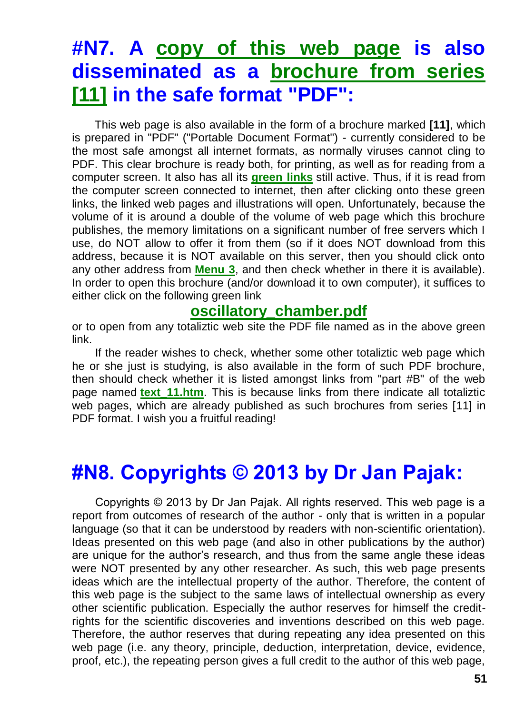#### **#N7. A [copy of this web page](http://tornado.zxq.net/oscillatory_chamber.pdf) is also disseminated as a [brochure from series](http://tornado.zxq.net/text_11.htm)  [\[11\]](http://tornado.zxq.net/text_11.htm) in the safe format "PDF":**

This web page is also available in the form of a brochure marked **[11]**, which is prepared in "PDF" ("Portable Document Format") - currently considered to be the most safe amongst all internet formats, as normally viruses cannot cling to PDF. This clear brochure is ready both, for printing, as well as for reading from a computer screen. It also has all its **[green links](http://tornado.zxq.net/eco_cars.htm)** still active. Thus, if it is read from the computer screen connected to internet, then after clicking onto these green links, the linked web pages and illustrations will open. Unfortunately, because the volume of it is around a double of the volume of web page which this brochure publishes, the memory limitations on a significant number of free servers which I use, do NOT allow to offer it from them (so if it does NOT download from this address, because it is NOT available on this server, then you should click onto any other address from **[Menu 3](http://tornado.zxq.net/menu.htm)**, and then check whether in there it is available). In order to open this brochure (and/or download it to own computer), it suffices to either click on the following green link

#### **[oscillatory\\_chamber.pdf](http://tornado.zxq.net/oscillatory_chamber.pdf)**

or to open from any totaliztic web site the PDF file named as in the above green link.

If the reader wishes to check, whether some other totaliztic web page which he or she just is studying, is also available in the form of such PDF brochure, then should check whether it is listed amongst links from "part #B" of the web page named **[text\\_11.htm](http://tornado.zxq.net/text_11.htm)**. This is because links from there indicate all totaliztic web pages, which are already published as such brochures from series [11] in PDF format. I wish you a fruitful reading!

# **#N8. Copyrights © 2013 by Dr Jan Pajak:**

Copyrights © 2013 by Dr Jan Pajak. All rights reserved. This web page is a report from outcomes of research of the author - only that is written in a popular language (so that it can be understood by readers with non-scientific orientation). Ideas presented on this web page (and also in other publications by the author) are unique for the author's research, and thus from the same angle these ideas were NOT presented by any other researcher. As such, this web page presents ideas which are the intellectual property of the author. Therefore, the content of this web page is the subject to the same laws of intellectual ownership as every other scientific publication. Especially the author reserves for himself the creditrights for the scientific discoveries and inventions described on this web page. Therefore, the author reserves that during repeating any idea presented on this web page (i.e. any theory, principle, deduction, interpretation, device, evidence, proof, etc.), the repeating person gives a full credit to the author of this web page,